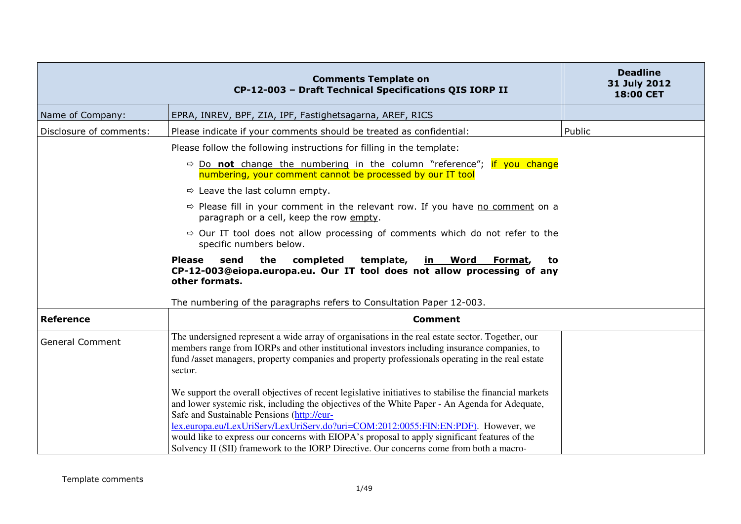|                         | <b>Comments Template on</b><br>CP-12-003 - Draft Technical Specifications QIS IORP II                                                                                                                                                                                                                                                                                                                                                                                                                                                   | <b>Deadline</b><br>31 July 2012<br>18:00 CET |
|-------------------------|-----------------------------------------------------------------------------------------------------------------------------------------------------------------------------------------------------------------------------------------------------------------------------------------------------------------------------------------------------------------------------------------------------------------------------------------------------------------------------------------------------------------------------------------|----------------------------------------------|
| Name of Company:        | EPRA, INREV, BPF, ZIA, IPF, Fastighetsagarna, AREF, RICS                                                                                                                                                                                                                                                                                                                                                                                                                                                                                |                                              |
| Disclosure of comments: | Please indicate if your comments should be treated as confidential:                                                                                                                                                                                                                                                                                                                                                                                                                                                                     | Public                                       |
|                         | Please follow the following instructions for filling in the template:                                                                                                                                                                                                                                                                                                                                                                                                                                                                   |                                              |
|                         | $\Rightarrow$ Do not change the numbering in the column "reference"; if you change<br>numbering, your comment cannot be processed by our IT tool                                                                                                                                                                                                                                                                                                                                                                                        |                                              |
|                         | $\Rightarrow$ Leave the last column empty.                                                                                                                                                                                                                                                                                                                                                                                                                                                                                              |                                              |
|                         | $\Rightarrow$ Please fill in your comment in the relevant row. If you have no comment on a<br>paragraph or a cell, keep the row empty.                                                                                                                                                                                                                                                                                                                                                                                                  |                                              |
|                         |                                                                                                                                                                                                                                                                                                                                                                                                                                                                                                                                         |                                              |
|                         | completed<br>send<br>the<br>template,<br><u>in Word</u><br><b>Please</b><br>Format,<br>to<br>CP-12-003@eiopa.europa.eu. Our IT tool does not allow processing of any<br>other formats.                                                                                                                                                                                                                                                                                                                                                  |                                              |
|                         | The numbering of the paragraphs refers to Consultation Paper 12-003.                                                                                                                                                                                                                                                                                                                                                                                                                                                                    |                                              |
| <b>Reference</b>        | <b>Comment</b>                                                                                                                                                                                                                                                                                                                                                                                                                                                                                                                          |                                              |
| <b>General Comment</b>  | The undersigned represent a wide array of organisations in the real estate sector. Together, our<br>members range from IORPs and other institutional investors including insurance companies, to<br>fund /asset managers, property companies and property professionals operating in the real estate<br>sector.                                                                                                                                                                                                                         |                                              |
|                         | We support the overall objectives of recent legislative initiatives to stabilise the financial markets<br>and lower systemic risk, including the objectives of the White Paper - An Agenda for Adequate,<br>Safe and Sustainable Pensions (http://eur-<br>lex.europa.eu/LexUriServ/LexUriServ.do?uri=COM:2012:0055:FIN:EN:PDF). However, we<br>would like to express our concerns with EIOPA's proposal to apply significant features of the<br>Solvency II (SII) framework to the IORP Directive. Our concerns come from both a macro- |                                              |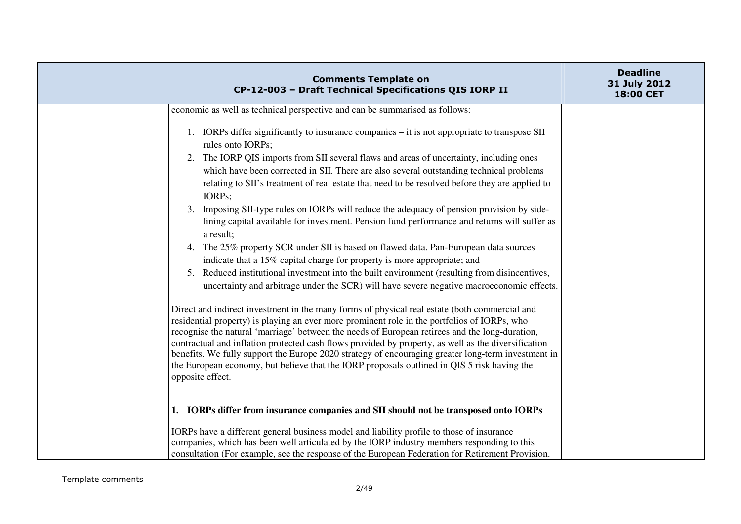|                                                                             | <b>Comments Template on</b><br>CP-12-003 - Draft Technical Specifications QIS IORP II                                                                                                                                                                                                                                                                                                                                                                                                                                                                                                                       | <b>Deadline</b><br>31 July 2012<br><b>18:00 CET</b> |
|-----------------------------------------------------------------------------|-------------------------------------------------------------------------------------------------------------------------------------------------------------------------------------------------------------------------------------------------------------------------------------------------------------------------------------------------------------------------------------------------------------------------------------------------------------------------------------------------------------------------------------------------------------------------------------------------------------|-----------------------------------------------------|
| economic as well as technical perspective and can be summarised as follows: |                                                                                                                                                                                                                                                                                                                                                                                                                                                                                                                                                                                                             |                                                     |
| rules onto IORPs;<br>IORPs;                                                 | 1. IORPs differ significantly to insurance companies – it is not appropriate to transpose SII<br>2. The IORP QIS imports from SII several flaws and areas of uncertainty, including ones<br>which have been corrected in SII. There are also several outstanding technical problems<br>relating to SII's treatment of real estate that need to be resolved before they are applied to<br>3. Imposing SII-type rules on IORPs will reduce the adequacy of pension provision by side-                                                                                                                         |                                                     |
| a result;                                                                   | lining capital available for investment. Pension fund performance and returns will suffer as                                                                                                                                                                                                                                                                                                                                                                                                                                                                                                                |                                                     |
|                                                                             | 4. The 25% property SCR under SII is based on flawed data. Pan-European data sources<br>indicate that a 15% capital charge for property is more appropriate; and                                                                                                                                                                                                                                                                                                                                                                                                                                            |                                                     |
|                                                                             | 5. Reduced institutional investment into the built environment (resulting from disincentives,<br>uncertainty and arbitrage under the SCR) will have severe negative macroeconomic effects.                                                                                                                                                                                                                                                                                                                                                                                                                  |                                                     |
| opposite effect.                                                            | Direct and indirect investment in the many forms of physical real estate (both commercial and<br>residential property) is playing an ever more prominent role in the portfolios of IORPs, who<br>recognise the natural 'marriage' between the needs of European retirees and the long-duration,<br>contractual and inflation protected cash flows provided by property, as well as the diversification<br>benefits. We fully support the Europe 2020 strategy of encouraging greater long-term investment in<br>the European economy, but believe that the IORP proposals outlined in QIS 5 risk having the |                                                     |
|                                                                             | 1. IORPs differ from insurance companies and SII should not be transposed onto IORPs                                                                                                                                                                                                                                                                                                                                                                                                                                                                                                                        |                                                     |
|                                                                             | IORPs have a different general business model and liability profile to those of insurance<br>companies, which has been well articulated by the IORP industry members responding to this<br>consultation (For example, see the response of the European Federation for Retirement Provision.                                                                                                                                                                                                                                                                                                                 |                                                     |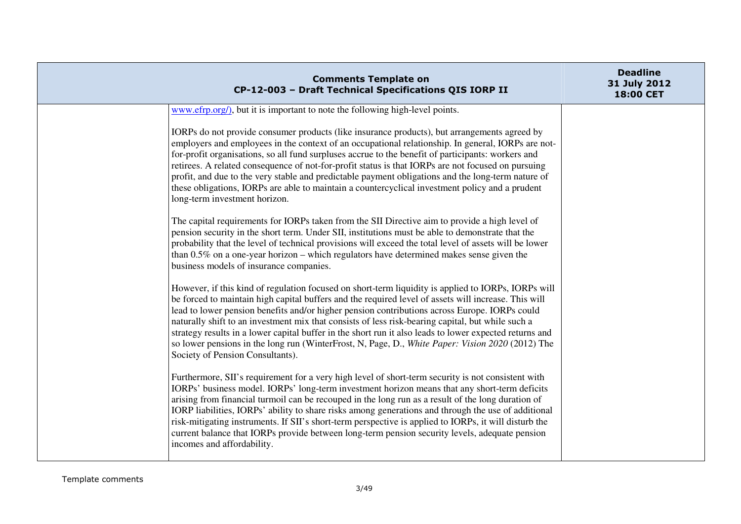| <b>Comments Template on</b><br>CP-12-003 - Draft Technical Specifications QIS IORP II                                                                                                                                                                                                                                                                                                                                                                                                                                                                                                                                                                                | <b>Deadline</b><br>31 July 2012<br>18:00 CET |
|----------------------------------------------------------------------------------------------------------------------------------------------------------------------------------------------------------------------------------------------------------------------------------------------------------------------------------------------------------------------------------------------------------------------------------------------------------------------------------------------------------------------------------------------------------------------------------------------------------------------------------------------------------------------|----------------------------------------------|
| www.efrp.org/), but it is important to note the following high-level points.                                                                                                                                                                                                                                                                                                                                                                                                                                                                                                                                                                                         |                                              |
| IORPs do not provide consumer products (like insurance products), but arrangements agreed by<br>employers and employees in the context of an occupational relationship. In general, IORPs are not-<br>for-profit organisations, so all fund surpluses accrue to the benefit of participants: workers and<br>retirees. A related consequence of not-for-profit status is that IORPs are not focused on pursuing<br>profit, and due to the very stable and predictable payment obligations and the long-term nature of<br>these obligations, IORPs are able to maintain a countercyclical investment policy and a prudent<br>long-term investment horizon.             |                                              |
| The capital requirements for IORPs taken from the SII Directive aim to provide a high level of<br>pension security in the short term. Under SII, institutions must be able to demonstrate that the<br>probability that the level of technical provisions will exceed the total level of assets will be lower<br>than $0.5\%$ on a one-year horizon – which regulators have determined makes sense given the<br>business models of insurance companies.                                                                                                                                                                                                               |                                              |
| However, if this kind of regulation focused on short-term liquidity is applied to IORPs, IORPs will<br>be forced to maintain high capital buffers and the required level of assets will increase. This will<br>lead to lower pension benefits and/or higher pension contributions across Europe. IORPs could<br>naturally shift to an investment mix that consists of less risk-bearing capital, but while such a<br>strategy results in a lower capital buffer in the short run it also leads to lower expected returns and<br>so lower pensions in the long run (WinterFrost, N, Page, D., White Paper: Vision 2020 (2012) The<br>Society of Pension Consultants). |                                              |
| Furthermore, SII's requirement for a very high level of short-term security is not consistent with<br>IORPs' business model. IORPs' long-term investment horizon means that any short-term deficits<br>arising from financial turmoil can be recouped in the long run as a result of the long duration of<br>IORP liabilities, IORPs' ability to share risks among generations and through the use of additional<br>risk-mitigating instruments. If SII's short-term perspective is applied to IORPs, it will disturb the<br>current balance that IORPs provide between long-term pension security levels, adequate pension<br>incomes and affordability.            |                                              |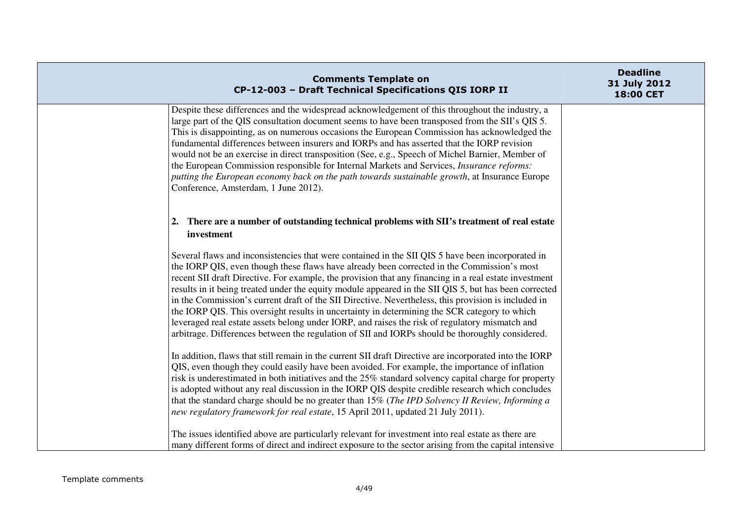| <b>Comments Template on</b><br>CP-12-003 - Draft Technical Specifications QIS IORP II                                                                                                                                                                                                                                                                                                                                                                                                                                                                                                                                                                                                                                                                                                                                                                                                                                                  | <b>Deadline</b><br>31 July 2012<br>18:00 CET |
|----------------------------------------------------------------------------------------------------------------------------------------------------------------------------------------------------------------------------------------------------------------------------------------------------------------------------------------------------------------------------------------------------------------------------------------------------------------------------------------------------------------------------------------------------------------------------------------------------------------------------------------------------------------------------------------------------------------------------------------------------------------------------------------------------------------------------------------------------------------------------------------------------------------------------------------|----------------------------------------------|
| Despite these differences and the widespread acknowledgement of this throughout the industry, a<br>large part of the QIS consultation document seems to have been transposed from the SII's QIS 5.<br>This is disappointing, as on numerous occasions the European Commission has acknowledged the<br>fundamental differences between insurers and IORPs and has asserted that the IORP revision<br>would not be an exercise in direct transposition (See, e.g., Speech of Michel Barnier, Member of<br>the European Commission responsible for Internal Markets and Services, Insurance reforms:<br>putting the European economy back on the path towards sustainable growth, at Insurance Europe<br>Conference, Amsterdam, 1 June 2012).                                                                                                                                                                                             |                                              |
| 2. There are a number of outstanding technical problems with SII's treatment of real estate<br>investment                                                                                                                                                                                                                                                                                                                                                                                                                                                                                                                                                                                                                                                                                                                                                                                                                              |                                              |
| Several flaws and inconsistencies that were contained in the SII QIS 5 have been incorporated in<br>the IORP QIS, even though these flaws have already been corrected in the Commission's most<br>recent SII draft Directive. For example, the provision that any financing in a real estate investment<br>results in it being treated under the equity module appeared in the SII QIS 5, but has been corrected<br>in the Commission's current draft of the SII Directive. Nevertheless, this provision is included in<br>the IORP QIS. This oversight results in uncertainty in determining the SCR category to which<br>leveraged real estate assets belong under IORP, and raises the risk of regulatory mismatch and<br>arbitrage. Differences between the regulation of SII and IORPs should be thoroughly considered.<br>In addition, flaws that still remain in the current SII draft Directive are incorporated into the IORP |                                              |
| QIS, even though they could easily have been avoided. For example, the importance of inflation<br>risk is underestimated in both initiatives and the 25% standard solvency capital charge for property<br>is adopted without any real discussion in the IORP QIS despite credible research which concludes<br>that the standard charge should be no greater than 15% (The IPD Solvency II Review, Informing a<br>new regulatory framework for real estate, 15 April 2011, updated 21 July 2011).                                                                                                                                                                                                                                                                                                                                                                                                                                       |                                              |
| The issues identified above are particularly relevant for investment into real estate as there are<br>many different forms of direct and indirect exposure to the sector arising from the capital intensive                                                                                                                                                                                                                                                                                                                                                                                                                                                                                                                                                                                                                                                                                                                            |                                              |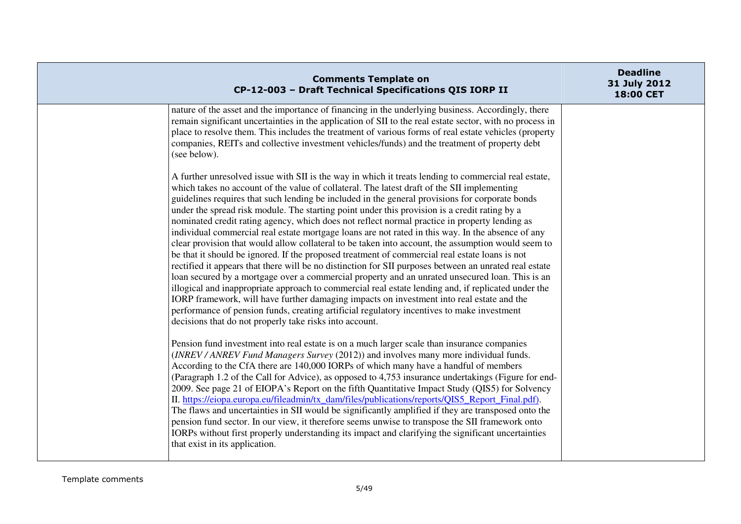| <b>Comments Template on</b><br>CP-12-003 - Draft Technical Specifications QIS IORP II                                                                                                                                                                                                                                                                                                                                                                                                                                                                                                                                                                                                                                                                                                                                                                                                                                                                                                                                                                                                                                                                                                                                                                                                                                                                                                           | <b>Deadline</b><br>31 July 2012<br>18:00 CET |
|-------------------------------------------------------------------------------------------------------------------------------------------------------------------------------------------------------------------------------------------------------------------------------------------------------------------------------------------------------------------------------------------------------------------------------------------------------------------------------------------------------------------------------------------------------------------------------------------------------------------------------------------------------------------------------------------------------------------------------------------------------------------------------------------------------------------------------------------------------------------------------------------------------------------------------------------------------------------------------------------------------------------------------------------------------------------------------------------------------------------------------------------------------------------------------------------------------------------------------------------------------------------------------------------------------------------------------------------------------------------------------------------------|----------------------------------------------|
| nature of the asset and the importance of financing in the underlying business. Accordingly, there<br>remain significant uncertainties in the application of SII to the real estate sector, with no process in<br>place to resolve them. This includes the treatment of various forms of real estate vehicles (property<br>companies, REITs and collective investment vehicles/funds) and the treatment of property debt<br>(see below).                                                                                                                                                                                                                                                                                                                                                                                                                                                                                                                                                                                                                                                                                                                                                                                                                                                                                                                                                        |                                              |
| A further unresolved issue with SII is the way in which it treats lending to commercial real estate,<br>which takes no account of the value of collateral. The latest draft of the SII implementing<br>guidelines requires that such lending be included in the general provisions for corporate bonds<br>under the spread risk module. The starting point under this provision is a credit rating by a<br>nominated credit rating agency, which does not reflect normal practice in property lending as<br>individual commercial real estate mortgage loans are not rated in this way. In the absence of any<br>clear provision that would allow collateral to be taken into account, the assumption would seem to<br>be that it should be ignored. If the proposed treatment of commercial real estate loans is not<br>rectified it appears that there will be no distinction for SII purposes between an unrated real estate<br>loan secured by a mortgage over a commercial property and an unrated unsecured loan. This is an<br>illogical and inappropriate approach to commercial real estate lending and, if replicated under the<br>IORP framework, will have further damaging impacts on investment into real estate and the<br>performance of pension funds, creating artificial regulatory incentives to make investment<br>decisions that do not properly take risks into account. |                                              |
| Pension fund investment into real estate is on a much larger scale than insurance companies<br>(INREV/ANREV Fund Managers Survey (2012)) and involves many more individual funds.<br>According to the CfA there are 140,000 IORPs of which many have a handful of members<br>(Paragraph 1.2 of the Call for Advice), as opposed to 4,753 insurance undertakings (Figure for end-<br>2009. See page 21 of EIOPA's Report on the fifth Quantitative Impact Study (QIS5) for Solvency<br>II. https://eiopa.europa.eu/fileadmin/tx_dam/files/publications/reports/QIS5_Report_Final.pdf).<br>The flaws and uncertainties in SII would be significantly amplified if they are transposed onto the<br>pension fund sector. In our view, it therefore seems unwise to transpose the SII framework onto<br>IORPs without first properly understanding its impact and clarifying the significant uncertainties<br>that exist in its application.                                                                                                                                                                                                                                                                                                                                                                                                                                                         |                                              |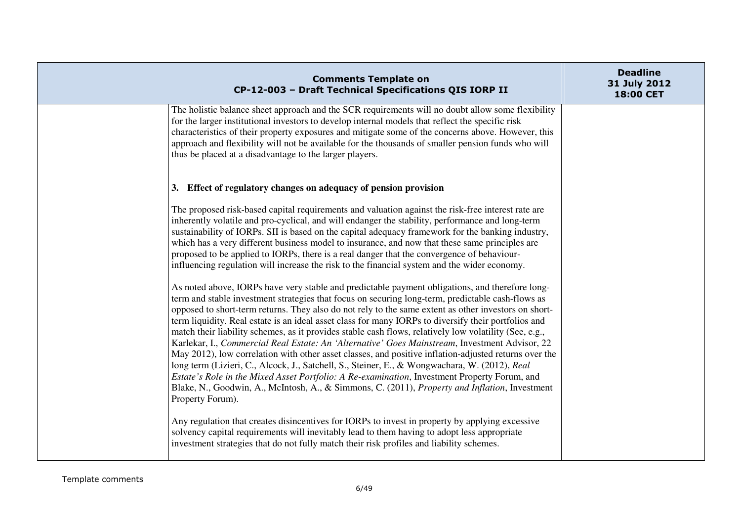| <b>Comments Template on</b><br>CP-12-003 - Draft Technical Specifications QIS IORP II                                                                                                                                                                                                                                                                                                                                                                                                                                                                                                                                                                                                                                                                                                                                                                                                                                                                                                                                                                                                                                                                                                                                                                                                                                                                                                                                                                                                                                                                     | <b>Deadline</b><br>31 July 2012<br>18:00 CET |
|-----------------------------------------------------------------------------------------------------------------------------------------------------------------------------------------------------------------------------------------------------------------------------------------------------------------------------------------------------------------------------------------------------------------------------------------------------------------------------------------------------------------------------------------------------------------------------------------------------------------------------------------------------------------------------------------------------------------------------------------------------------------------------------------------------------------------------------------------------------------------------------------------------------------------------------------------------------------------------------------------------------------------------------------------------------------------------------------------------------------------------------------------------------------------------------------------------------------------------------------------------------------------------------------------------------------------------------------------------------------------------------------------------------------------------------------------------------------------------------------------------------------------------------------------------------|----------------------------------------------|
| The holistic balance sheet approach and the SCR requirements will no doubt allow some flexibility<br>for the larger institutional investors to develop internal models that reflect the specific risk<br>characteristics of their property exposures and mitigate some of the concerns above. However, this<br>approach and flexibility will not be available for the thousands of smaller pension funds who will<br>thus be placed at a disadvantage to the larger players.                                                                                                                                                                                                                                                                                                                                                                                                                                                                                                                                                                                                                                                                                                                                                                                                                                                                                                                                                                                                                                                                              |                                              |
| 3. Effect of regulatory changes on adequacy of pension provision                                                                                                                                                                                                                                                                                                                                                                                                                                                                                                                                                                                                                                                                                                                                                                                                                                                                                                                                                                                                                                                                                                                                                                                                                                                                                                                                                                                                                                                                                          |                                              |
| The proposed risk-based capital requirements and valuation against the risk-free interest rate are<br>inherently volatile and pro-cyclical, and will endanger the stability, performance and long-term<br>sustainability of IORPs. SII is based on the capital adequacy framework for the banking industry,<br>which has a very different business model to insurance, and now that these same principles are<br>proposed to be applied to IORPs, there is a real danger that the convergence of behaviour-<br>influencing regulation will increase the risk to the financial system and the wider economy.<br>As noted above, IORPs have very stable and predictable payment obligations, and therefore long-<br>term and stable investment strategies that focus on securing long-term, predictable cash-flows as<br>opposed to short-term returns. They also do not rely to the same extent as other investors on short-<br>term liquidity. Real estate is an ideal asset class for many IORPs to diversify their portfolios and<br>match their liability schemes, as it provides stable cash flows, relatively low volatility (See, e.g.,<br>Karlekar, I., Commercial Real Estate: An 'Alternative' Goes Mainstream, Investment Advisor, 22<br>May 2012), low correlation with other asset classes, and positive inflation-adjusted returns over the<br>long term (Lizieri, C., Alcock, J., Satchell, S., Steiner, E., & Wongwachara, W. (2012), Real<br>Estate's Role in the Mixed Asset Portfolio: A Re-examination, Investment Property Forum, and |                                              |
| Blake, N., Goodwin, A., McIntosh, A., & Simmons, C. (2011), <i>Property and Inflation</i> , Investment<br>Property Forum).                                                                                                                                                                                                                                                                                                                                                                                                                                                                                                                                                                                                                                                                                                                                                                                                                                                                                                                                                                                                                                                                                                                                                                                                                                                                                                                                                                                                                                |                                              |
| Any regulation that creates disincentives for IORPs to invest in property by applying excessive<br>solvency capital requirements will inevitably lead to them having to adopt less appropriate<br>investment strategies that do not fully match their risk profiles and liability schemes.                                                                                                                                                                                                                                                                                                                                                                                                                                                                                                                                                                                                                                                                                                                                                                                                                                                                                                                                                                                                                                                                                                                                                                                                                                                                |                                              |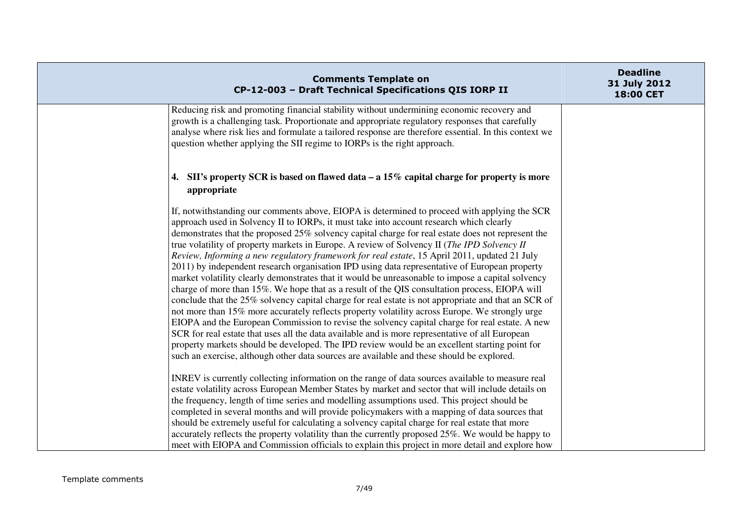| <b>Comments Template on</b><br>CP-12-003 - Draft Technical Specifications QIS IORP II                                                                                                                                                                                                                                                                                                                                                                                                                                                                                                                                                                                                                                                                                                                                                                                                                                                                                                                                                                                                                                                                                                                                                                                                                                                                                                                          | <b>Deadline</b><br>31 July 2012<br>18:00 CET |
|----------------------------------------------------------------------------------------------------------------------------------------------------------------------------------------------------------------------------------------------------------------------------------------------------------------------------------------------------------------------------------------------------------------------------------------------------------------------------------------------------------------------------------------------------------------------------------------------------------------------------------------------------------------------------------------------------------------------------------------------------------------------------------------------------------------------------------------------------------------------------------------------------------------------------------------------------------------------------------------------------------------------------------------------------------------------------------------------------------------------------------------------------------------------------------------------------------------------------------------------------------------------------------------------------------------------------------------------------------------------------------------------------------------|----------------------------------------------|
| Reducing risk and promoting financial stability without undermining economic recovery and<br>growth is a challenging task. Proportionate and appropriate regulatory responses that carefully<br>analyse where risk lies and formulate a tailored response are therefore essential. In this context we<br>question whether applying the SII regime to IORPs is the right approach.                                                                                                                                                                                                                                                                                                                                                                                                                                                                                                                                                                                                                                                                                                                                                                                                                                                                                                                                                                                                                              |                                              |
| 4. SII's property SCR is based on flawed data $- a 15\%$ capital charge for property is more<br>appropriate                                                                                                                                                                                                                                                                                                                                                                                                                                                                                                                                                                                                                                                                                                                                                                                                                                                                                                                                                                                                                                                                                                                                                                                                                                                                                                    |                                              |
| If, notwithstanding our comments above, EIOPA is determined to proceed with applying the SCR<br>approach used in Solvency II to IORPs, it must take into account research which clearly<br>demonstrates that the proposed 25% solvency capital charge for real estate does not represent the<br>true volatility of property markets in Europe. A review of Solvency II (The IPD Solvency II<br>Review, Informing a new regulatory framework for real estate, 15 April 2011, updated 21 July<br>2011) by independent research organisation IPD using data representative of European property<br>market volatility clearly demonstrates that it would be unreasonable to impose a capital solvency<br>charge of more than 15%. We hope that as a result of the QIS consultation process, EIOPA will<br>conclude that the 25% solvency capital charge for real estate is not appropriate and that an SCR of<br>not more than 15% more accurately reflects property volatility across Europe. We strongly urge<br>EIOPA and the European Commission to revise the solvency capital charge for real estate. A new<br>SCR for real estate that uses all the data available and is more representative of all European<br>property markets should be developed. The IPD review would be an excellent starting point for<br>such an exercise, although other data sources are available and these should be explored. |                                              |
| INREV is currently collecting information on the range of data sources available to measure real<br>estate volatility across European Member States by market and sector that will include details on<br>the frequency, length of time series and modelling assumptions used. This project should be<br>completed in several months and will provide policymakers with a mapping of data sources that<br>should be extremely useful for calculating a solvency capital charge for real estate that more<br>accurately reflects the property volatility than the currently proposed 25%. We would be happy to<br>meet with EIOPA and Commission officials to explain this project in more detail and explore how                                                                                                                                                                                                                                                                                                                                                                                                                                                                                                                                                                                                                                                                                                |                                              |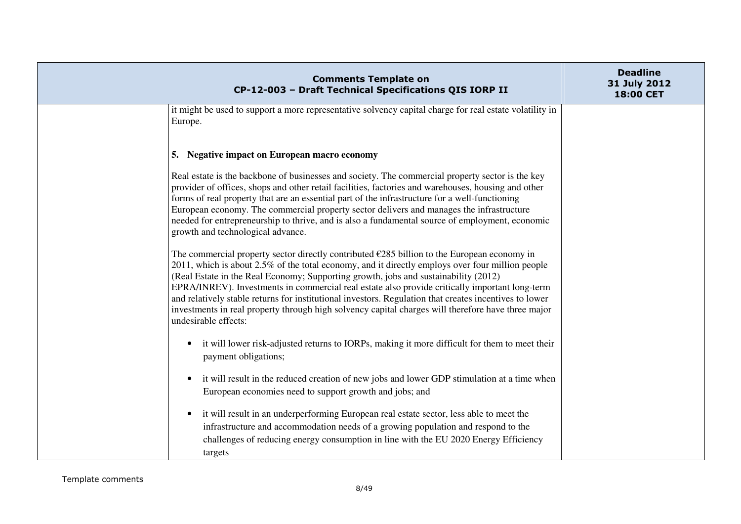| <b>Comments Template on</b><br>CP-12-003 - Draft Technical Specifications QIS IORP II                                                                                                                                                                                                                                                                                                                                                                                                                                                                                                                                                      | <b>Deadline</b><br>31 July 2012<br>18:00 CET |
|--------------------------------------------------------------------------------------------------------------------------------------------------------------------------------------------------------------------------------------------------------------------------------------------------------------------------------------------------------------------------------------------------------------------------------------------------------------------------------------------------------------------------------------------------------------------------------------------------------------------------------------------|----------------------------------------------|
| it might be used to support a more representative solvency capital charge for real estate volatility in<br>Europe.                                                                                                                                                                                                                                                                                                                                                                                                                                                                                                                         |                                              |
| 5. Negative impact on European macro economy                                                                                                                                                                                                                                                                                                                                                                                                                                                                                                                                                                                               |                                              |
| Real estate is the backbone of businesses and society. The commercial property sector is the key<br>provider of offices, shops and other retail facilities, factories and warehouses, housing and other<br>forms of real property that are an essential part of the infrastructure for a well-functioning<br>European economy. The commercial property sector delivers and manages the infrastructure<br>needed for entrepreneurship to thrive, and is also a fundamental source of employment, economic<br>growth and technological advance.                                                                                              |                                              |
| The commercial property sector directly contributed $\epsilon$ 285 billion to the European economy in<br>2011, which is about 2.5% of the total economy, and it directly employs over four million people<br>(Real Estate in the Real Economy; Supporting growth, jobs and sustainability (2012)<br>EPRA/INREV). Investments in commercial real estate also provide critically important long-term<br>and relatively stable returns for institutional investors. Regulation that creates incentives to lower<br>investments in real property through high solvency capital charges will therefore have three major<br>undesirable effects: |                                              |
| it will lower risk-adjusted returns to IORPs, making it more difficult for them to meet their<br>$\bullet$<br>payment obligations;                                                                                                                                                                                                                                                                                                                                                                                                                                                                                                         |                                              |
| it will result in the reduced creation of new jobs and lower GDP stimulation at a time when<br>European economies need to support growth and jobs; and                                                                                                                                                                                                                                                                                                                                                                                                                                                                                     |                                              |
| it will result in an underperforming European real estate sector, less able to meet the<br>$\bullet$<br>infrastructure and accommodation needs of a growing population and respond to the<br>challenges of reducing energy consumption in line with the EU 2020 Energy Efficiency<br>targets                                                                                                                                                                                                                                                                                                                                               |                                              |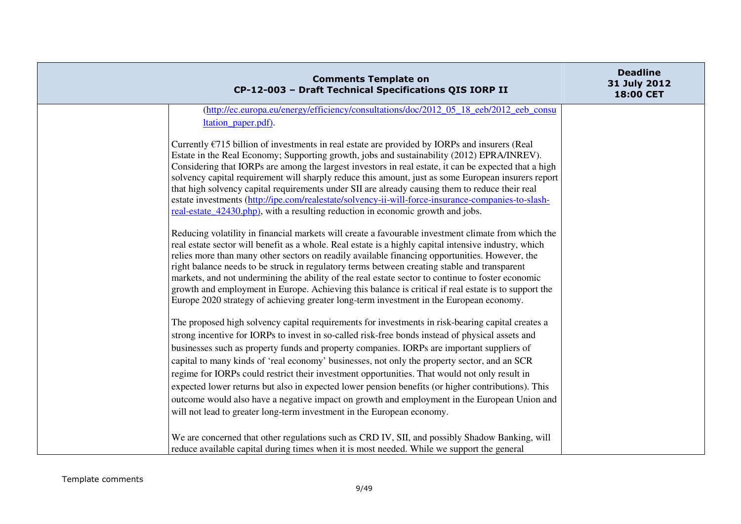|                                                                                                                                                                                         | <b>Comments Template on</b><br>CP-12-003 - Draft Technical Specifications QIS IORP II                                                                                                                                                                                                                                                                                                                                                                                                                                                                                                                                                                                                                      | <b>Deadline</b><br>31 July 2012<br>18:00 CET |
|-----------------------------------------------------------------------------------------------------------------------------------------------------------------------------------------|------------------------------------------------------------------------------------------------------------------------------------------------------------------------------------------------------------------------------------------------------------------------------------------------------------------------------------------------------------------------------------------------------------------------------------------------------------------------------------------------------------------------------------------------------------------------------------------------------------------------------------------------------------------------------------------------------------|----------------------------------------------|
|                                                                                                                                                                                         | (http://ec.europa.eu/energy/efficiency/consultations/doc/2012_05_18_eeb/2012_eeb_consu                                                                                                                                                                                                                                                                                                                                                                                                                                                                                                                                                                                                                     |                                              |
| ltation_paper.pdf).                                                                                                                                                                     |                                                                                                                                                                                                                                                                                                                                                                                                                                                                                                                                                                                                                                                                                                            |                                              |
| real-estate 42430.php), with a resulting reduction in economic growth and jobs.                                                                                                         | Currently $\epsilon$ 715 billion of investments in real estate are provided by IORPs and insurers (Real<br>Estate in the Real Economy; Supporting growth, jobs and sustainability (2012) EPRA/INREV).<br>Considering that IORPs are among the largest investors in real estate, it can be expected that a high<br>solvency capital requirement will sharply reduce this amount, just as some European insurers report<br>that high solvency capital requirements under SII are already causing them to reduce their real<br>estate investments (http://ipe.com/realestate/solvency-ii-will-force-insurance-companies-to-slash-                                                                             |                                              |
| right balance needs to be struck in regulatory terms between creating stable and transparent<br>Europe 2020 strategy of achieving greater long-term investment in the European economy. | Reducing volatility in financial markets will create a favourable investment climate from which the<br>real estate sector will benefit as a whole. Real estate is a highly capital intensive industry, which<br>relies more than many other sectors on readily available financing opportunities. However, the<br>markets, and not undermining the ability of the real estate sector to continue to foster economic<br>growth and employment in Europe. Achieving this balance is critical if real estate is to support the                                                                                                                                                                                |                                              |
| will not lead to greater long-term investment in the European economy.                                                                                                                  | The proposed high solvency capital requirements for investments in risk-bearing capital creates a<br>strong incentive for IORPs to invest in so-called risk-free bonds instead of physical assets and<br>businesses such as property funds and property companies. IORPs are important suppliers of<br>capital to many kinds of 'real economy' businesses, not only the property sector, and an SCR<br>regime for IORPs could restrict their investment opportunities. That would not only result in<br>expected lower returns but also in expected lower pension benefits (or higher contributions). This<br>outcome would also have a negative impact on growth and employment in the European Union and |                                              |
| reduce available capital during times when it is most needed. While we support the general                                                                                              | We are concerned that other regulations such as CRD IV, SII, and possibly Shadow Banking, will                                                                                                                                                                                                                                                                                                                                                                                                                                                                                                                                                                                                             |                                              |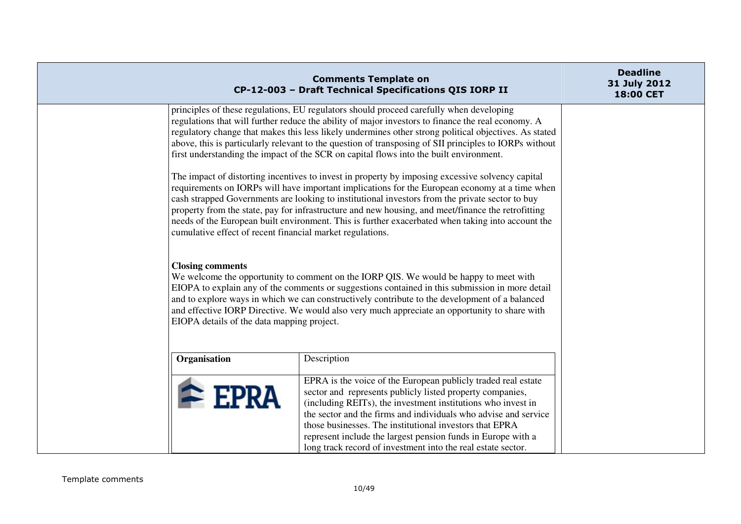|                                                                                                                                                                                                                                                                                                                                                                                                                                                                                                                                                                               | <b>Comments Template on</b><br>CP-12-003 - Draft Technical Specifications QIS IORP II                                                                                                                                                                                                                                                                                                                                                                                                                      | <b>Deadline</b><br>31 July 2012<br>18:00 CET |
|-------------------------------------------------------------------------------------------------------------------------------------------------------------------------------------------------------------------------------------------------------------------------------------------------------------------------------------------------------------------------------------------------------------------------------------------------------------------------------------------------------------------------------------------------------------------------------|------------------------------------------------------------------------------------------------------------------------------------------------------------------------------------------------------------------------------------------------------------------------------------------------------------------------------------------------------------------------------------------------------------------------------------------------------------------------------------------------------------|----------------------------------------------|
|                                                                                                                                                                                                                                                                                                                                                                                                                                                                                                                                                                               | principles of these regulations, EU regulators should proceed carefully when developing<br>regulations that will further reduce the ability of major investors to finance the real economy. A<br>regulatory change that makes this less likely undermines other strong political objectives. As stated<br>above, this is particularly relevant to the question of transposing of SII principles to IORPs without<br>first understanding the impact of the SCR on capital flows into the built environment. |                                              |
| The impact of distorting incentives to invest in property by imposing excessive solvency capital<br>requirements on IORPs will have important implications for the European economy at a time when<br>cash strapped Governments are looking to institutional investors from the private sector to buy<br>property from the state, pay for infrastructure and new housing, and meet/finance the retrofitting<br>needs of the European built environment. This is further exacerbated when taking into account the<br>cumulative effect of recent financial market regulations. |                                                                                                                                                                                                                                                                                                                                                                                                                                                                                                            |                                              |
| <b>Closing comments</b><br>EIOPA details of the data mapping project.                                                                                                                                                                                                                                                                                                                                                                                                                                                                                                         | We welcome the opportunity to comment on the IORP QIS. We would be happy to meet with<br>EIOPA to explain any of the comments or suggestions contained in this submission in more detail<br>and to explore ways in which we can constructively contribute to the development of a balanced<br>and effective IORP Directive. We would also very much appreciate an opportunity to share with                                                                                                                |                                              |
| Organisation                                                                                                                                                                                                                                                                                                                                                                                                                                                                                                                                                                  | Description                                                                                                                                                                                                                                                                                                                                                                                                                                                                                                |                                              |
| $\triangle$ EPRA                                                                                                                                                                                                                                                                                                                                                                                                                                                                                                                                                              | EPRA is the voice of the European publicly traded real estate<br>sector and represents publicly listed property companies,<br>(including REITs), the investment institutions who invest in<br>the sector and the firms and individuals who advise and service<br>those businesses. The institutional investors that EPRA<br>represent include the largest pension funds in Europe with a<br>long track record of investment into the real estate sector.                                                   |                                              |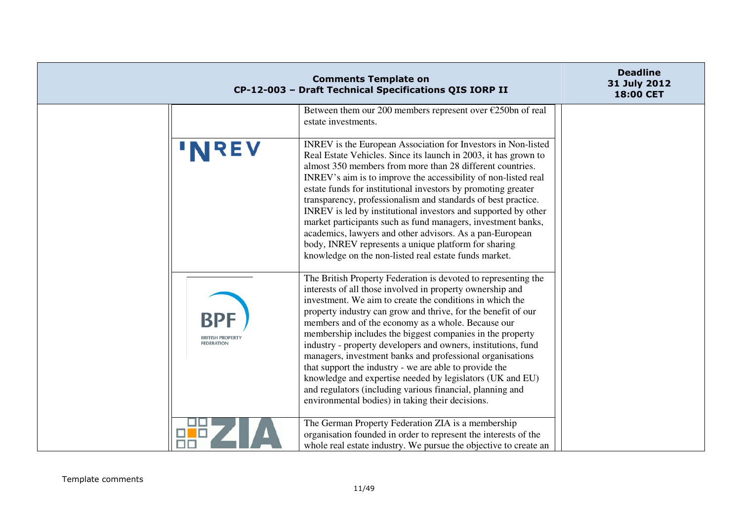| CP-12-003 - Draft Technical Specifications QIS IORP II | <b>Deadline</b><br>31 July 2012<br>18:00 CET                                                                                                                                                                                                                                                                                                                                                                                                                                                                                                                                                                                                                                                                                                      |  |
|--------------------------------------------------------|---------------------------------------------------------------------------------------------------------------------------------------------------------------------------------------------------------------------------------------------------------------------------------------------------------------------------------------------------------------------------------------------------------------------------------------------------------------------------------------------------------------------------------------------------------------------------------------------------------------------------------------------------------------------------------------------------------------------------------------------------|--|
|                                                        | Between them our 200 members represent over $\epsilon$ 250bn of real<br>estate investments.                                                                                                                                                                                                                                                                                                                                                                                                                                                                                                                                                                                                                                                       |  |
|                                                        | INREV is the European Association for Investors in Non-listed<br>Real Estate Vehicles. Since its launch in 2003, it has grown to<br>almost 350 members from more than 28 different countries.<br>INREV's aim is to improve the accessibility of non-listed real<br>estate funds for institutional investors by promoting greater<br>transparency, professionalism and standards of best practice.<br>INREV is led by institutional investors and supported by other<br>market participants such as fund managers, investment banks,<br>academics, lawyers and other advisors. As a pan-European<br>body, INREV represents a unique platform for sharing<br>knowledge on the non-listed real estate funds market.                                  |  |
| <b>BRITISH PROPE</b><br><b>FEDERATION</b>              | The British Property Federation is devoted to representing the<br>interests of all those involved in property ownership and<br>investment. We aim to create the conditions in which the<br>property industry can grow and thrive, for the benefit of our<br>members and of the economy as a whole. Because our<br>membership includes the biggest companies in the property<br>industry - property developers and owners, institutions, fund<br>managers, investment banks and professional organisations<br>that support the industry - we are able to provide the<br>knowledge and expertise needed by legislators (UK and EU)<br>and regulators (including various financial, planning and<br>environmental bodies) in taking their decisions. |  |
|                                                        | The German Property Federation ZIA is a membership<br>organisation founded in order to represent the interests of the<br>whole real estate industry. We pursue the objective to create an                                                                                                                                                                                                                                                                                                                                                                                                                                                                                                                                                         |  |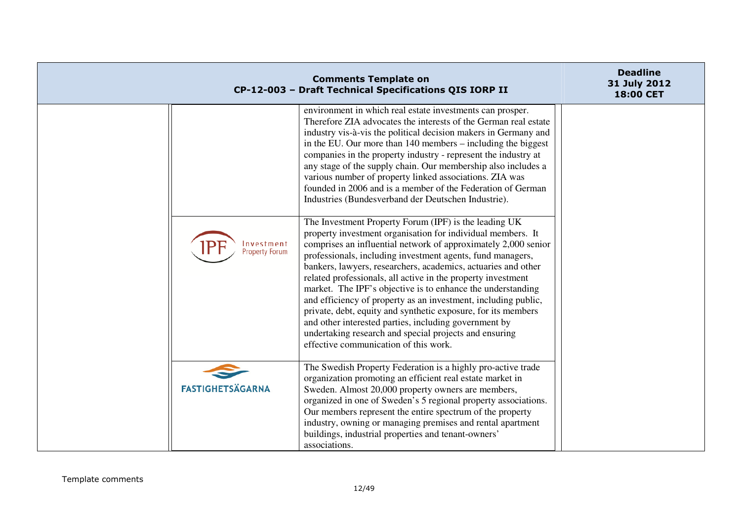|                              | <b>Comments Template on</b><br>CP-12-003 - Draft Technical Specifications QIS IORP II                                                                                                                                                                                                                                                                                                                                                                                                                                                                                                                                                                                                                                                                                                                                                                                                                                                                                                                                                                                                                                                                                                                                                   | <b>Deadline</b><br>31 July 2012<br>18:00 CET |
|------------------------------|-----------------------------------------------------------------------------------------------------------------------------------------------------------------------------------------------------------------------------------------------------------------------------------------------------------------------------------------------------------------------------------------------------------------------------------------------------------------------------------------------------------------------------------------------------------------------------------------------------------------------------------------------------------------------------------------------------------------------------------------------------------------------------------------------------------------------------------------------------------------------------------------------------------------------------------------------------------------------------------------------------------------------------------------------------------------------------------------------------------------------------------------------------------------------------------------------------------------------------------------|----------------------------------------------|
| Investment<br>Property Forum | environment in which real estate investments can prosper.<br>Therefore ZIA advocates the interests of the German real estate<br>industry vis-à-vis the political decision makers in Germany and<br>in the EU. Our more than 140 members – including the biggest<br>companies in the property industry - represent the industry at<br>any stage of the supply chain. Our membership also includes a<br>various number of property linked associations. ZIA was<br>founded in 2006 and is a member of the Federation of German<br>Industries (Bundesverband der Deutschen Industrie).<br>The Investment Property Forum (IPF) is the leading UK<br>property investment organisation for individual members. It<br>comprises an influential network of approximately 2,000 senior<br>professionals, including investment agents, fund managers,<br>bankers, lawyers, researchers, academics, actuaries and other<br>related professionals, all active in the property investment<br>market. The IPF's objective is to enhance the understanding<br>and efficiency of property as an investment, including public,<br>private, debt, equity and synthetic exposure, for its members<br>and other interested parties, including government by |                                              |
| <b>FASTIGHETSÄGARNA</b>      | undertaking research and special projects and ensuring<br>effective communication of this work.<br>The Swedish Property Federation is a highly pro-active trade<br>organization promoting an efficient real estate market in<br>Sweden. Almost 20,000 property owners are members,<br>organized in one of Sweden's 5 regional property associations.<br>Our members represent the entire spectrum of the property<br>industry, owning or managing premises and rental apartment                                                                                                                                                                                                                                                                                                                                                                                                                                                                                                                                                                                                                                                                                                                                                         |                                              |
|                              | buildings, industrial properties and tenant-owners'<br>associations.                                                                                                                                                                                                                                                                                                                                                                                                                                                                                                                                                                                                                                                                                                                                                                                                                                                                                                                                                                                                                                                                                                                                                                    |                                              |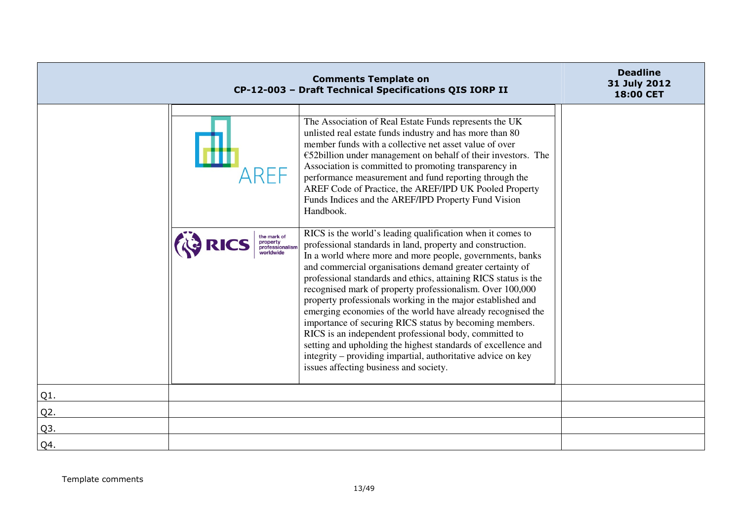|        |                                                         | <b>Comments Template on</b><br>CP-12-003 - Draft Technical Specifications QIS IORP II                                                                                                                                                                                                                                                                                                                                                                                                                                                                                                                                                                                                                                                                                                                           | <b>Deadline</b><br>31 July 2012<br>18:00 CET |
|--------|---------------------------------------------------------|-----------------------------------------------------------------------------------------------------------------------------------------------------------------------------------------------------------------------------------------------------------------------------------------------------------------------------------------------------------------------------------------------------------------------------------------------------------------------------------------------------------------------------------------------------------------------------------------------------------------------------------------------------------------------------------------------------------------------------------------------------------------------------------------------------------------|----------------------------------------------|
|        |                                                         | The Association of Real Estate Funds represents the UK<br>unlisted real estate funds industry and has more than 80<br>member funds with a collective net asset value of over<br>$\epsilon$ 52billion under management on behalf of their investors. The<br>Association is committed to promoting transparency in<br>performance measurement and fund reporting through the<br>AREF Code of Practice, the AREF/IPD UK Pooled Property<br>Funds Indices and the AREF/IPD Property Fund Vision<br>Handbook.                                                                                                                                                                                                                                                                                                        |                                              |
|        | the mark of<br>property<br>professionalism<br>worldwide | RICS is the world's leading qualification when it comes to<br>professional standards in land, property and construction.<br>In a world where more and more people, governments, banks<br>and commercial organisations demand greater certainty of<br>professional standards and ethics, attaining RICS status is the<br>recognised mark of property professionalism. Over 100,000<br>property professionals working in the major established and<br>emerging economies of the world have already recognised the<br>importance of securing RICS status by becoming members.<br>RICS is an independent professional body, committed to<br>setting and upholding the highest standards of excellence and<br>integrity – providing impartial, authoritative advice on key<br>issues affecting business and society. |                                              |
| $Q1$ . |                                                         |                                                                                                                                                                                                                                                                                                                                                                                                                                                                                                                                                                                                                                                                                                                                                                                                                 |                                              |
| Q2.    |                                                         |                                                                                                                                                                                                                                                                                                                                                                                                                                                                                                                                                                                                                                                                                                                                                                                                                 |                                              |
| Q3.    |                                                         |                                                                                                                                                                                                                                                                                                                                                                                                                                                                                                                                                                                                                                                                                                                                                                                                                 |                                              |
| Q4.    |                                                         |                                                                                                                                                                                                                                                                                                                                                                                                                                                                                                                                                                                                                                                                                                                                                                                                                 |                                              |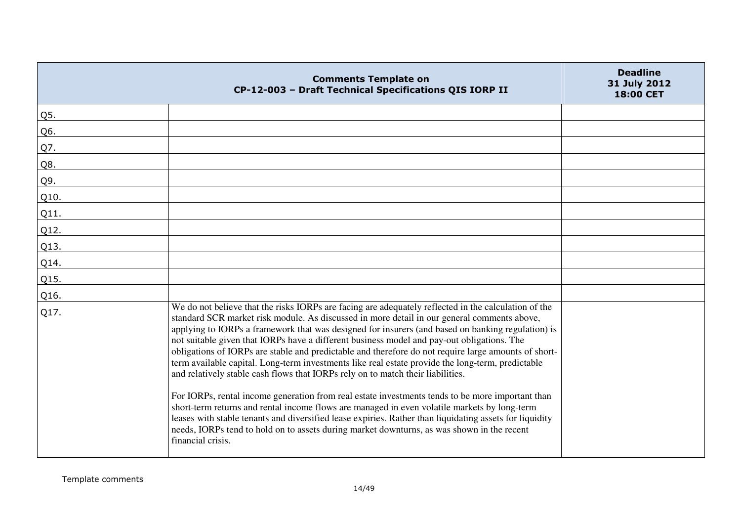|      | <b>Comments Template on</b><br>CP-12-003 - Draft Technical Specifications QIS IORP II                                                                                                                                                                                                                                                                                                                                                                                                                                                                                                                                                                                                                                                                                                                                                                                                                                                                                                                                                                                                                                                    | <b>Deadline</b><br>31 July 2012<br>18:00 CET |
|------|------------------------------------------------------------------------------------------------------------------------------------------------------------------------------------------------------------------------------------------------------------------------------------------------------------------------------------------------------------------------------------------------------------------------------------------------------------------------------------------------------------------------------------------------------------------------------------------------------------------------------------------------------------------------------------------------------------------------------------------------------------------------------------------------------------------------------------------------------------------------------------------------------------------------------------------------------------------------------------------------------------------------------------------------------------------------------------------------------------------------------------------|----------------------------------------------|
| Q5.  |                                                                                                                                                                                                                                                                                                                                                                                                                                                                                                                                                                                                                                                                                                                                                                                                                                                                                                                                                                                                                                                                                                                                          |                                              |
| Q6.  |                                                                                                                                                                                                                                                                                                                                                                                                                                                                                                                                                                                                                                                                                                                                                                                                                                                                                                                                                                                                                                                                                                                                          |                                              |
| Q7.  |                                                                                                                                                                                                                                                                                                                                                                                                                                                                                                                                                                                                                                                                                                                                                                                                                                                                                                                                                                                                                                                                                                                                          |                                              |
| Q8.  |                                                                                                                                                                                                                                                                                                                                                                                                                                                                                                                                                                                                                                                                                                                                                                                                                                                                                                                                                                                                                                                                                                                                          |                                              |
| Q9.  |                                                                                                                                                                                                                                                                                                                                                                                                                                                                                                                                                                                                                                                                                                                                                                                                                                                                                                                                                                                                                                                                                                                                          |                                              |
| Q10. |                                                                                                                                                                                                                                                                                                                                                                                                                                                                                                                                                                                                                                                                                                                                                                                                                                                                                                                                                                                                                                                                                                                                          |                                              |
| Q11. |                                                                                                                                                                                                                                                                                                                                                                                                                                                                                                                                                                                                                                                                                                                                                                                                                                                                                                                                                                                                                                                                                                                                          |                                              |
| Q12. |                                                                                                                                                                                                                                                                                                                                                                                                                                                                                                                                                                                                                                                                                                                                                                                                                                                                                                                                                                                                                                                                                                                                          |                                              |
| Q13. |                                                                                                                                                                                                                                                                                                                                                                                                                                                                                                                                                                                                                                                                                                                                                                                                                                                                                                                                                                                                                                                                                                                                          |                                              |
| Q14. |                                                                                                                                                                                                                                                                                                                                                                                                                                                                                                                                                                                                                                                                                                                                                                                                                                                                                                                                                                                                                                                                                                                                          |                                              |
| Q15. |                                                                                                                                                                                                                                                                                                                                                                                                                                                                                                                                                                                                                                                                                                                                                                                                                                                                                                                                                                                                                                                                                                                                          |                                              |
| Q16. |                                                                                                                                                                                                                                                                                                                                                                                                                                                                                                                                                                                                                                                                                                                                                                                                                                                                                                                                                                                                                                                                                                                                          |                                              |
| Q17. | We do not believe that the risks IORPs are facing are adequately reflected in the calculation of the<br>standard SCR market risk module. As discussed in more detail in our general comments above,<br>applying to IORPs a framework that was designed for insurers (and based on banking regulation) is<br>not suitable given that IORPs have a different business model and pay-out obligations. The<br>obligations of IORPs are stable and predictable and therefore do not require large amounts of short-<br>term available capital. Long-term investments like real estate provide the long-term, predictable<br>and relatively stable cash flows that IORPs rely on to match their liabilities.<br>For IORPs, rental income generation from real estate investments tends to be more important than<br>short-term returns and rental income flows are managed in even volatile markets by long-term<br>leases with stable tenants and diversified lease expiries. Rather than liquidating assets for liquidity<br>needs, IORPs tend to hold on to assets during market downturns, as was shown in the recent<br>financial crisis. |                                              |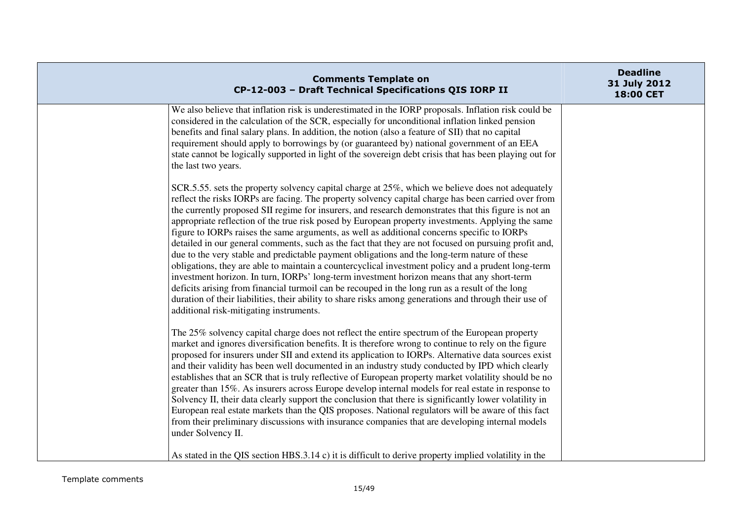| <b>Comments Template on</b><br>CP-12-003 - Draft Technical Specifications QIS IORP II                                                                                                                                                                                                                                                                                                                                                                                                                                                                                                                                                                                                                                                                                                                                                                                                                                                                                                                                                                                                                                                                                                   | <b>Deadline</b><br>31 July 2012<br>18:00 CET |
|-----------------------------------------------------------------------------------------------------------------------------------------------------------------------------------------------------------------------------------------------------------------------------------------------------------------------------------------------------------------------------------------------------------------------------------------------------------------------------------------------------------------------------------------------------------------------------------------------------------------------------------------------------------------------------------------------------------------------------------------------------------------------------------------------------------------------------------------------------------------------------------------------------------------------------------------------------------------------------------------------------------------------------------------------------------------------------------------------------------------------------------------------------------------------------------------|----------------------------------------------|
| We also believe that inflation risk is underestimated in the IORP proposals. Inflation risk could be<br>considered in the calculation of the SCR, especially for unconditional inflation linked pension<br>benefits and final salary plans. In addition, the notion (also a feature of SII) that no capital<br>requirement should apply to borrowings by (or guaranteed by) national government of an EEA<br>state cannot be logically supported in light of the sovereign debt crisis that has been playing out for<br>the last two years.                                                                                                                                                                                                                                                                                                                                                                                                                                                                                                                                                                                                                                             |                                              |
| SCR.5.55, sets the property solvency capital charge at 25%, which we believe does not adequately<br>reflect the risks IORPs are facing. The property solvency capital charge has been carried over from<br>the currently proposed SII regime for insurers, and research demonstrates that this figure is not an<br>appropriate reflection of the true risk posed by European property investments. Applying the same<br>figure to IORPs raises the same arguments, as well as additional concerns specific to IORPs<br>detailed in our general comments, such as the fact that they are not focused on pursuing profit and,<br>due to the very stable and predictable payment obligations and the long-term nature of these<br>obligations, they are able to maintain a countercyclical investment policy and a prudent long-term<br>investment horizon. In turn, IORPs' long-term investment horizon means that any short-term<br>deficits arising from financial turmoil can be recouped in the long run as a result of the long<br>duration of their liabilities, their ability to share risks among generations and through their use of<br>additional risk-mitigating instruments. |                                              |
| The 25% solvency capital charge does not reflect the entire spectrum of the European property<br>market and ignores diversification benefits. It is therefore wrong to continue to rely on the figure<br>proposed for insurers under SII and extend its application to IORPs. Alternative data sources exist<br>and their validity has been well documented in an industry study conducted by IPD which clearly<br>establishes that an SCR that is truly reflective of European property market volatility should be no<br>greater than 15%. As insurers across Europe develop internal models for real estate in response to<br>Solvency II, their data clearly support the conclusion that there is significantly lower volatility in<br>European real estate markets than the QIS proposes. National regulators will be aware of this fact<br>from their preliminary discussions with insurance companies that are developing internal models<br>under Solvency II.<br>As stated in the QIS section HBS.3.14 c) it is difficult to derive property implied volatility in the                                                                                                         |                                              |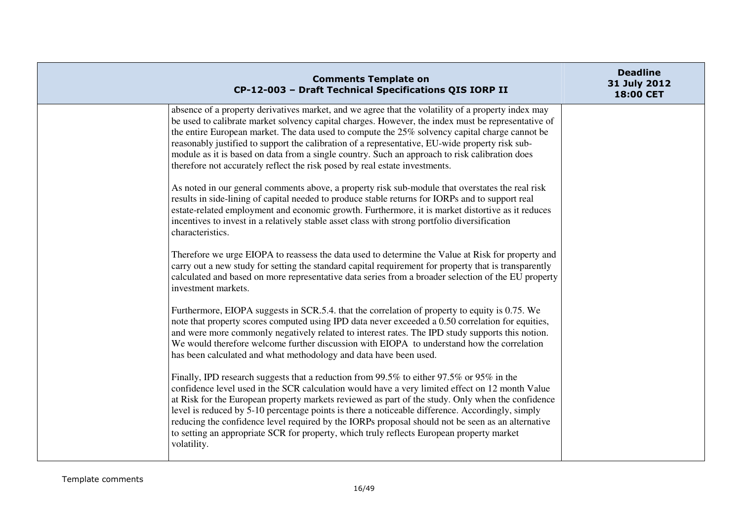| <b>Comments Template on</b><br>CP-12-003 - Draft Technical Specifications QIS IORP II                                                                                                                                                                                                                                                                                                                                                                                                                                                                                                                                 | <b>Deadline</b><br>31 July 2012<br>18:00 CET |
|-----------------------------------------------------------------------------------------------------------------------------------------------------------------------------------------------------------------------------------------------------------------------------------------------------------------------------------------------------------------------------------------------------------------------------------------------------------------------------------------------------------------------------------------------------------------------------------------------------------------------|----------------------------------------------|
| absence of a property derivatives market, and we agree that the volatility of a property index may<br>be used to calibrate market solvency capital charges. However, the index must be representative of<br>the entire European market. The data used to compute the 25% solvency capital charge cannot be<br>reasonably justified to support the calibration of a representative, EU-wide property risk sub-<br>module as it is based on data from a single country. Such an approach to risk calibration does<br>therefore not accurately reflect the risk posed by real estate investments.                        |                                              |
| As noted in our general comments above, a property risk sub-module that overstates the real risk<br>results in side-lining of capital needed to produce stable returns for IORPs and to support real<br>estate-related employment and economic growth. Furthermore, it is market distortive as it reduces<br>incentives to invest in a relatively stable asset class with strong portfolio diversification<br>characteristics.                                                                                                                                                                                        |                                              |
| Therefore we urge EIOPA to reassess the data used to determine the Value at Risk for property and<br>carry out a new study for setting the standard capital requirement for property that is transparently<br>calculated and based on more representative data series from a broader selection of the EU property<br>investment markets.                                                                                                                                                                                                                                                                              |                                              |
| Furthermore, EIOPA suggests in SCR.5.4. that the correlation of property to equity is 0.75. We<br>note that property scores computed using IPD data never exceeded a 0.50 correlation for equities,<br>and were more commonly negatively related to interest rates. The IPD study supports this notion.<br>We would therefore welcome further discussion with EIOPA to understand how the correlation<br>has been calculated and what methodology and data have been used.                                                                                                                                            |                                              |
| Finally, IPD research suggests that a reduction from 99.5% to either 97.5% or 95% in the<br>confidence level used in the SCR calculation would have a very limited effect on 12 month Value<br>at Risk for the European property markets reviewed as part of the study. Only when the confidence<br>level is reduced by 5-10 percentage points is there a noticeable difference. Accordingly, simply<br>reducing the confidence level required by the IORPs proposal should not be seen as an alternative<br>to setting an appropriate SCR for property, which truly reflects European property market<br>volatility. |                                              |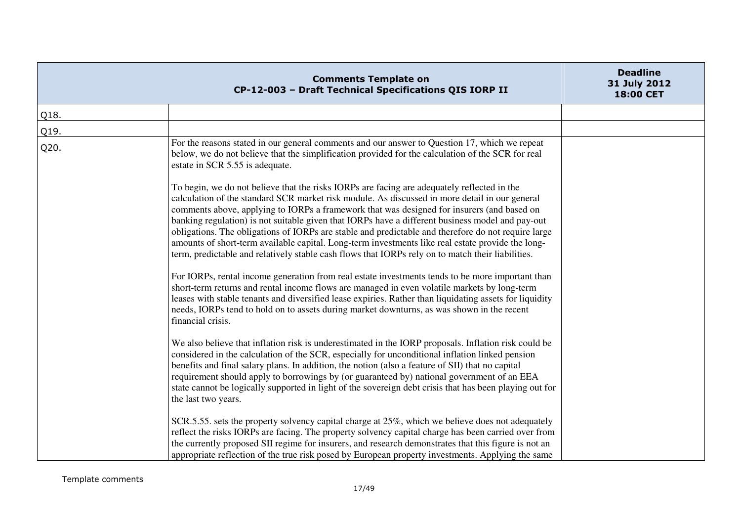|      | <b>Comments Template on</b><br>CP-12-003 - Draft Technical Specifications QIS IORP II                                                                                                                                                                                                                                                                                                                                                                                                                                                                                                                                                                                                                                                                                                                                                                                                                                                                                                                                                                                                                                                                                                                                                                                                                                                                                                                                                                                                                                                                                                                                                                                                                                                                                                                    | <b>Deadline</b><br>31 July 2012<br>18:00 CET |
|------|----------------------------------------------------------------------------------------------------------------------------------------------------------------------------------------------------------------------------------------------------------------------------------------------------------------------------------------------------------------------------------------------------------------------------------------------------------------------------------------------------------------------------------------------------------------------------------------------------------------------------------------------------------------------------------------------------------------------------------------------------------------------------------------------------------------------------------------------------------------------------------------------------------------------------------------------------------------------------------------------------------------------------------------------------------------------------------------------------------------------------------------------------------------------------------------------------------------------------------------------------------------------------------------------------------------------------------------------------------------------------------------------------------------------------------------------------------------------------------------------------------------------------------------------------------------------------------------------------------------------------------------------------------------------------------------------------------------------------------------------------------------------------------------------------------|----------------------------------------------|
| Q18. |                                                                                                                                                                                                                                                                                                                                                                                                                                                                                                                                                                                                                                                                                                                                                                                                                                                                                                                                                                                                                                                                                                                                                                                                                                                                                                                                                                                                                                                                                                                                                                                                                                                                                                                                                                                                          |                                              |
| Q19. |                                                                                                                                                                                                                                                                                                                                                                                                                                                                                                                                                                                                                                                                                                                                                                                                                                                                                                                                                                                                                                                                                                                                                                                                                                                                                                                                                                                                                                                                                                                                                                                                                                                                                                                                                                                                          |                                              |
| Q20. | For the reasons stated in our general comments and our answer to Question 17, which we repeat<br>below, we do not believe that the simplification provided for the calculation of the SCR for real<br>estate in SCR 5.55 is adequate.<br>To begin, we do not believe that the risks IORPs are facing are adequately reflected in the<br>calculation of the standard SCR market risk module. As discussed in more detail in our general<br>comments above, applying to IORPs a framework that was designed for insurers (and based on<br>banking regulation) is not suitable given that IORPs have a different business model and pay-out<br>obligations. The obligations of IORPs are stable and predictable and therefore do not require large<br>amounts of short-term available capital. Long-term investments like real estate provide the long-<br>term, predictable and relatively stable cash flows that IORPs rely on to match their liabilities.<br>For IORPs, rental income generation from real estate investments tends to be more important than<br>short-term returns and rental income flows are managed in even volatile markets by long-term<br>leases with stable tenants and diversified lease expiries. Rather than liquidating assets for liquidity<br>needs, IORPs tend to hold on to assets during market downturns, as was shown in the recent<br>financial crisis.<br>We also believe that inflation risk is underestimated in the IORP proposals. Inflation risk could be<br>considered in the calculation of the SCR, especially for unconditional inflation linked pension<br>benefits and final salary plans. In addition, the notion (also a feature of SII) that no capital<br>requirement should apply to borrowings by (or guaranteed by) national government of an EEA |                                              |
|      | state cannot be logically supported in light of the sovereign debt crisis that has been playing out for<br>the last two years.                                                                                                                                                                                                                                                                                                                                                                                                                                                                                                                                                                                                                                                                                                                                                                                                                                                                                                                                                                                                                                                                                                                                                                                                                                                                                                                                                                                                                                                                                                                                                                                                                                                                           |                                              |
|      | SCR.5.55. sets the property solvency capital charge at 25%, which we believe does not adequately<br>reflect the risks IORPs are facing. The property solvency capital charge has been carried over from<br>the currently proposed SII regime for insurers, and research demonstrates that this figure is not an<br>appropriate reflection of the true risk posed by European property investments. Applying the same                                                                                                                                                                                                                                                                                                                                                                                                                                                                                                                                                                                                                                                                                                                                                                                                                                                                                                                                                                                                                                                                                                                                                                                                                                                                                                                                                                                     |                                              |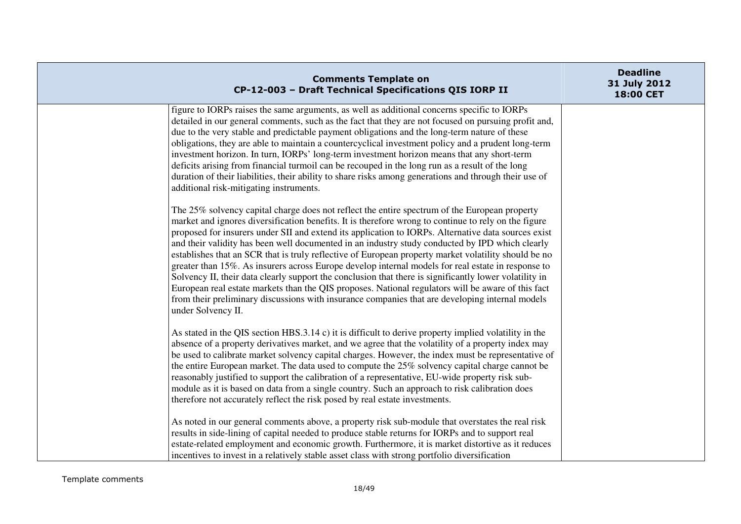| <b>Comments Template on</b><br>CP-12-003 - Draft Technical Specifications QIS IORP II                                                                                                                                                                                                                                                                                                                                                                                                                                                                                                                                                                                                                                                                                                                                                                                                                                                                                  | <b>Deadline</b><br>31 July 2012<br>18:00 CET |
|------------------------------------------------------------------------------------------------------------------------------------------------------------------------------------------------------------------------------------------------------------------------------------------------------------------------------------------------------------------------------------------------------------------------------------------------------------------------------------------------------------------------------------------------------------------------------------------------------------------------------------------------------------------------------------------------------------------------------------------------------------------------------------------------------------------------------------------------------------------------------------------------------------------------------------------------------------------------|----------------------------------------------|
| figure to IORPs raises the same arguments, as well as additional concerns specific to IORPs<br>detailed in our general comments, such as the fact that they are not focused on pursuing profit and,<br>due to the very stable and predictable payment obligations and the long-term nature of these<br>obligations, they are able to maintain a countercyclical investment policy and a prudent long-term<br>investment horizon. In turn, IORPs' long-term investment horizon means that any short-term<br>deficits arising from financial turmoil can be recouped in the long run as a result of the long<br>duration of their liabilities, their ability to share risks among generations and through their use of<br>additional risk-mitigating instruments.                                                                                                                                                                                                        |                                              |
| The 25% solvency capital charge does not reflect the entire spectrum of the European property<br>market and ignores diversification benefits. It is therefore wrong to continue to rely on the figure<br>proposed for insurers under SII and extend its application to IORPs. Alternative data sources exist<br>and their validity has been well documented in an industry study conducted by IPD which clearly<br>establishes that an SCR that is truly reflective of European property market volatility should be no<br>greater than 15%. As insurers across Europe develop internal models for real estate in response to<br>Solvency II, their data clearly support the conclusion that there is significantly lower volatility in<br>European real estate markets than the QIS proposes. National regulators will be aware of this fact<br>from their preliminary discussions with insurance companies that are developing internal models<br>under Solvency II. |                                              |
| As stated in the QIS section HBS.3.14 c) it is difficult to derive property implied volatility in the<br>absence of a property derivatives market, and we agree that the volatility of a property index may<br>be used to calibrate market solvency capital charges. However, the index must be representative of<br>the entire European market. The data used to compute the 25% solvency capital charge cannot be<br>reasonably justified to support the calibration of a representative, EU-wide property risk sub-<br>module as it is based on data from a single country. Such an approach to risk calibration does<br>therefore not accurately reflect the risk posed by real estate investments.                                                                                                                                                                                                                                                                |                                              |
| As noted in our general comments above, a property risk sub-module that overstates the real risk<br>results in side-lining of capital needed to produce stable returns for IORPs and to support real<br>estate-related employment and economic growth. Furthermore, it is market distortive as it reduces<br>incentives to invest in a relatively stable asset class with strong portfolio diversification                                                                                                                                                                                                                                                                                                                                                                                                                                                                                                                                                             |                                              |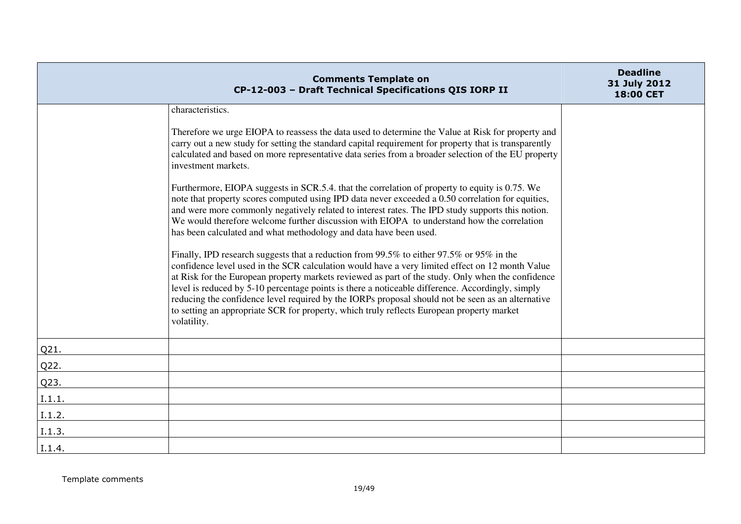|        | <b>Comments Template on</b><br>CP-12-003 - Draft Technical Specifications QIS IORP II                                                                                                                                                                                                                                                                                                                                                                                                                                                                                                                                 | <b>Deadline</b><br>31 July 2012<br>18:00 CET |
|--------|-----------------------------------------------------------------------------------------------------------------------------------------------------------------------------------------------------------------------------------------------------------------------------------------------------------------------------------------------------------------------------------------------------------------------------------------------------------------------------------------------------------------------------------------------------------------------------------------------------------------------|----------------------------------------------|
|        | characteristics.                                                                                                                                                                                                                                                                                                                                                                                                                                                                                                                                                                                                      |                                              |
|        | Therefore we urge EIOPA to reassess the data used to determine the Value at Risk for property and<br>carry out a new study for setting the standard capital requirement for property that is transparently<br>calculated and based on more representative data series from a broader selection of the EU property<br>investment markets.                                                                                                                                                                                                                                                                              |                                              |
|        | Furthermore, EIOPA suggests in SCR.5.4. that the correlation of property to equity is 0.75. We<br>note that property scores computed using IPD data never exceeded a 0.50 correlation for equities,<br>and were more commonly negatively related to interest rates. The IPD study supports this notion.<br>We would therefore welcome further discussion with EIOPA to understand how the correlation<br>has been calculated and what methodology and data have been used.                                                                                                                                            |                                              |
|        | Finally, IPD research suggests that a reduction from 99.5% to either 97.5% or 95% in the<br>confidence level used in the SCR calculation would have a very limited effect on 12 month Value<br>at Risk for the European property markets reviewed as part of the study. Only when the confidence<br>level is reduced by 5-10 percentage points is there a noticeable difference. Accordingly, simply<br>reducing the confidence level required by the IORPs proposal should not be seen as an alternative<br>to setting an appropriate SCR for property, which truly reflects European property market<br>volatility. |                                              |
| Q21.   |                                                                                                                                                                                                                                                                                                                                                                                                                                                                                                                                                                                                                       |                                              |
| Q22.   |                                                                                                                                                                                                                                                                                                                                                                                                                                                                                                                                                                                                                       |                                              |
| Q23.   |                                                                                                                                                                                                                                                                                                                                                                                                                                                                                                                                                                                                                       |                                              |
| I.1.1. |                                                                                                                                                                                                                                                                                                                                                                                                                                                                                                                                                                                                                       |                                              |
| I.1.2. |                                                                                                                                                                                                                                                                                                                                                                                                                                                                                                                                                                                                                       |                                              |
| I.1.3. |                                                                                                                                                                                                                                                                                                                                                                                                                                                                                                                                                                                                                       |                                              |
| I.1.4. |                                                                                                                                                                                                                                                                                                                                                                                                                                                                                                                                                                                                                       |                                              |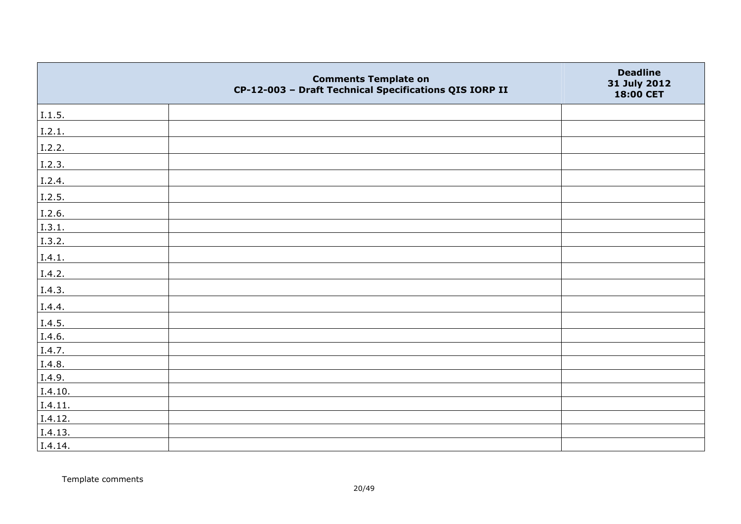|         | <b>Comments Template on</b><br>CP-12-003 - Draft Technical Specifications QIS IORP II | <b>Deadline</b><br>31 July 2012<br>18:00 CET |
|---------|---------------------------------------------------------------------------------------|----------------------------------------------|
| I.1.5.  |                                                                                       |                                              |
| I.2.1.  |                                                                                       |                                              |
| I.2.2.  |                                                                                       |                                              |
| I.2.3.  |                                                                                       |                                              |
| I.2.4.  |                                                                                       |                                              |
| I.2.5.  |                                                                                       |                                              |
| I.2.6.  |                                                                                       |                                              |
| I.3.1.  |                                                                                       |                                              |
| I.3.2.  |                                                                                       |                                              |
| I.4.1.  |                                                                                       |                                              |
| I.4.2.  |                                                                                       |                                              |
| I.4.3.  |                                                                                       |                                              |
| I.4.4.  |                                                                                       |                                              |
| I.4.5.  |                                                                                       |                                              |
| I.4.6.  |                                                                                       |                                              |
| I.4.7.  |                                                                                       |                                              |
| I.4.8.  |                                                                                       |                                              |
| I.4.9.  |                                                                                       |                                              |
| I.4.10. |                                                                                       |                                              |
| I.4.11. |                                                                                       |                                              |
| I.4.12. |                                                                                       |                                              |
| I.4.13. |                                                                                       |                                              |
| I.4.14. |                                                                                       |                                              |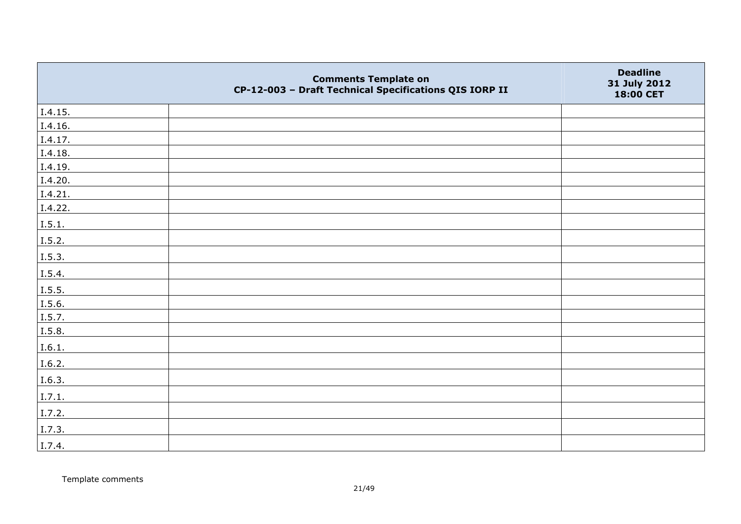|         | <b>Comments Template on</b><br>CP-12-003 - Draft Technical Specifications QIS IORP II | <b>Deadline</b><br>31 July 2012<br>18:00 CET |
|---------|---------------------------------------------------------------------------------------|----------------------------------------------|
| I.4.15. |                                                                                       |                                              |
| I.4.16. |                                                                                       |                                              |
| I.4.17. |                                                                                       |                                              |
| I.4.18. |                                                                                       |                                              |
| I.4.19. |                                                                                       |                                              |
| I.4.20. |                                                                                       |                                              |
| I.4.21. |                                                                                       |                                              |
| I.4.22. |                                                                                       |                                              |
| I.5.1.  |                                                                                       |                                              |
| I.5.2.  |                                                                                       |                                              |
| I.5.3.  |                                                                                       |                                              |
| I.5.4.  |                                                                                       |                                              |
| I.5.5.  |                                                                                       |                                              |
| I.5.6.  |                                                                                       |                                              |
| I.5.7.  |                                                                                       |                                              |
| I.5.8.  |                                                                                       |                                              |
| I.6.1.  |                                                                                       |                                              |
| I.6.2.  |                                                                                       |                                              |
| I.6.3.  |                                                                                       |                                              |
| I.7.1.  |                                                                                       |                                              |
| I.7.2.  |                                                                                       |                                              |
| I.7.3.  |                                                                                       |                                              |
| I.7.4.  |                                                                                       |                                              |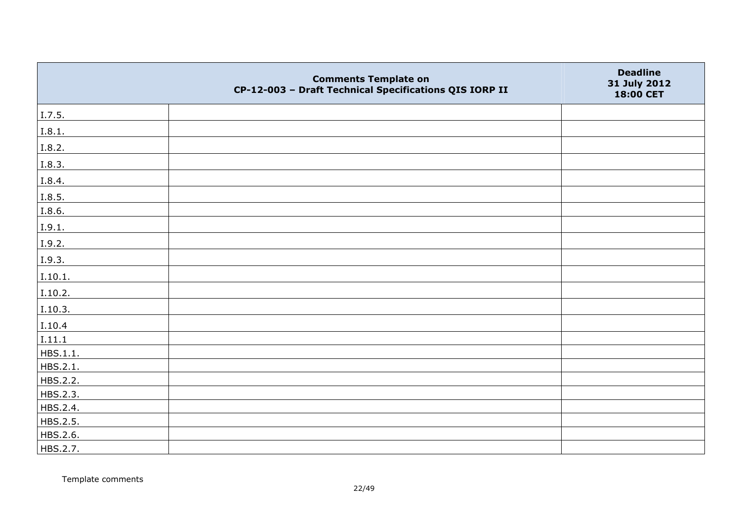|          | <b>Comments Template on</b><br>CP-12-003 - Draft Technical Specifications QIS IORP II | <b>Deadline</b><br>31 July 2012<br>18:00 CET |
|----------|---------------------------------------------------------------------------------------|----------------------------------------------|
| I.7.5.   |                                                                                       |                                              |
| I.8.1.   |                                                                                       |                                              |
| I.8.2.   |                                                                                       |                                              |
| I.8.3.   |                                                                                       |                                              |
| I.8.4.   |                                                                                       |                                              |
| I.8.5.   |                                                                                       |                                              |
| I.8.6.   |                                                                                       |                                              |
| I.9.1.   |                                                                                       |                                              |
| I.9.2.   |                                                                                       |                                              |
| I.9.3.   |                                                                                       |                                              |
| I.10.1.  |                                                                                       |                                              |
| I.10.2.  |                                                                                       |                                              |
| I.10.3.  |                                                                                       |                                              |
| I.10.4   |                                                                                       |                                              |
| I.11.1   |                                                                                       |                                              |
| HBS.1.1. |                                                                                       |                                              |
| HBS.2.1. |                                                                                       |                                              |
| HBS.2.2. |                                                                                       |                                              |
| HBS.2.3. |                                                                                       |                                              |
| HBS.2.4. |                                                                                       |                                              |
| HBS.2.5. |                                                                                       |                                              |
| HBS.2.6. |                                                                                       |                                              |
| HBS.2.7. |                                                                                       |                                              |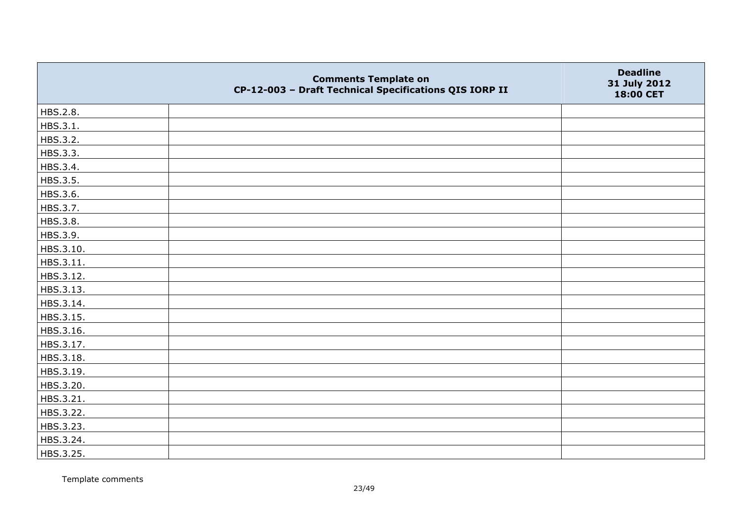|           | <b>Comments Template on</b><br>CP-12-003 - Draft Technical Specifications QIS IORP II | <b>Deadline</b><br>31 July 2012<br>18:00 CET |
|-----------|---------------------------------------------------------------------------------------|----------------------------------------------|
| HBS.2.8.  |                                                                                       |                                              |
| HBS.3.1.  |                                                                                       |                                              |
| HBS.3.2.  |                                                                                       |                                              |
| HBS.3.3.  |                                                                                       |                                              |
| HBS.3.4.  |                                                                                       |                                              |
| HBS.3.5.  |                                                                                       |                                              |
| HBS.3.6.  |                                                                                       |                                              |
| HBS.3.7.  |                                                                                       |                                              |
| HBS.3.8.  |                                                                                       |                                              |
| HBS.3.9.  |                                                                                       |                                              |
| HBS.3.10. |                                                                                       |                                              |
| HBS.3.11. |                                                                                       |                                              |
| HBS.3.12. |                                                                                       |                                              |
| HBS.3.13. |                                                                                       |                                              |
| HBS.3.14. |                                                                                       |                                              |
| HBS.3.15. |                                                                                       |                                              |
| HBS.3.16. |                                                                                       |                                              |
| HBS.3.17. |                                                                                       |                                              |
| HBS.3.18. |                                                                                       |                                              |
| HBS.3.19. |                                                                                       |                                              |
| HBS.3.20. |                                                                                       |                                              |
| HBS.3.21. |                                                                                       |                                              |
| HBS.3.22. |                                                                                       |                                              |
| HBS.3.23. |                                                                                       |                                              |
| HBS.3.24. |                                                                                       |                                              |
| HBS.3.25. |                                                                                       |                                              |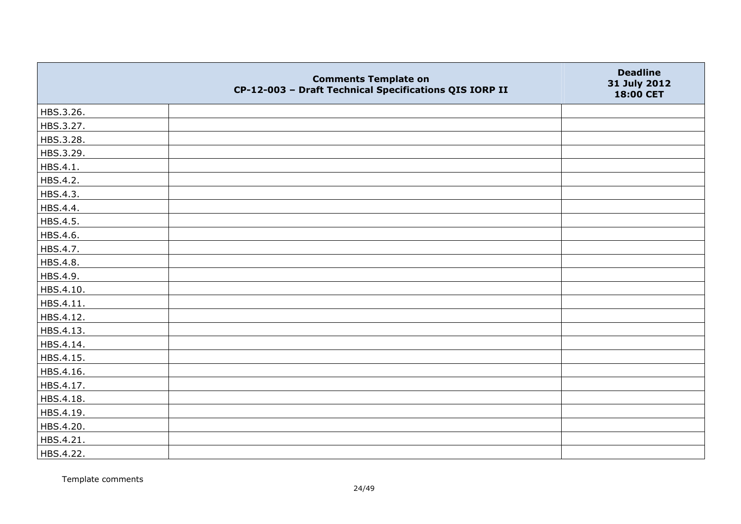|           | <b>Comments Template on</b><br>CP-12-003 - Draft Technical Specifications QIS IORP II | <b>Deadline</b><br>31 July 2012<br>18:00 CET |
|-----------|---------------------------------------------------------------------------------------|----------------------------------------------|
| HBS.3.26. |                                                                                       |                                              |
| HBS.3.27. |                                                                                       |                                              |
| HBS.3.28. |                                                                                       |                                              |
| HBS.3.29. |                                                                                       |                                              |
| HBS.4.1.  |                                                                                       |                                              |
| HBS.4.2.  |                                                                                       |                                              |
| HBS.4.3.  |                                                                                       |                                              |
| HBS.4.4.  |                                                                                       |                                              |
| HBS.4.5.  |                                                                                       |                                              |
| HBS.4.6.  |                                                                                       |                                              |
| HBS.4.7.  |                                                                                       |                                              |
| HBS.4.8.  |                                                                                       |                                              |
| HBS.4.9.  |                                                                                       |                                              |
| HBS.4.10. |                                                                                       |                                              |
| HBS.4.11. |                                                                                       |                                              |
| HBS.4.12. |                                                                                       |                                              |
| HBS.4.13. |                                                                                       |                                              |
| HBS.4.14. |                                                                                       |                                              |
| HBS.4.15. |                                                                                       |                                              |
| HBS.4.16. |                                                                                       |                                              |
| HBS.4.17. |                                                                                       |                                              |
| HBS.4.18. |                                                                                       |                                              |
| HBS.4.19. |                                                                                       |                                              |
| HBS.4.20. |                                                                                       |                                              |
| HBS.4.21. |                                                                                       |                                              |
| HBS.4.22. |                                                                                       |                                              |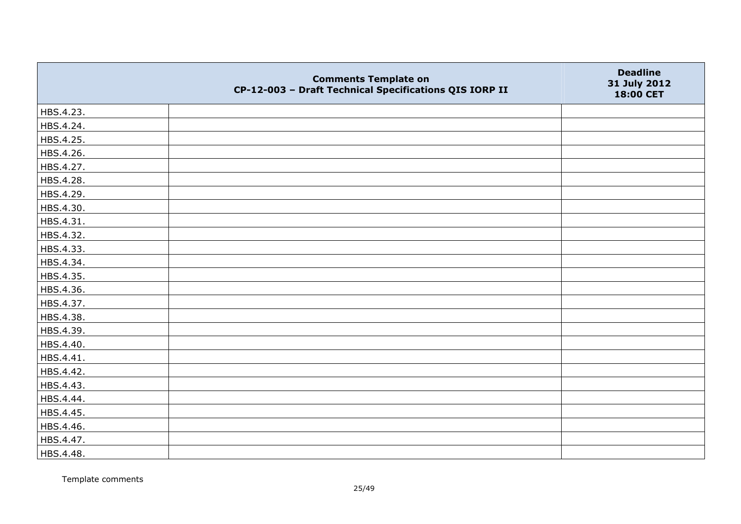|           | <b>Comments Template on</b><br>CP-12-003 - Draft Technical Specifications QIS IORP II | <b>Deadline</b><br>31 July 2012<br>18:00 CET |
|-----------|---------------------------------------------------------------------------------------|----------------------------------------------|
| HBS.4.23. |                                                                                       |                                              |
| HBS.4.24. |                                                                                       |                                              |
| HBS.4.25. |                                                                                       |                                              |
| HBS.4.26. |                                                                                       |                                              |
| HBS.4.27. |                                                                                       |                                              |
| HBS.4.28. |                                                                                       |                                              |
| HBS.4.29. |                                                                                       |                                              |
| HBS.4.30. |                                                                                       |                                              |
| HBS.4.31. |                                                                                       |                                              |
| HBS.4.32. |                                                                                       |                                              |
| HBS.4.33. |                                                                                       |                                              |
| HBS.4.34. |                                                                                       |                                              |
| HBS.4.35. |                                                                                       |                                              |
| HBS.4.36. |                                                                                       |                                              |
| HBS.4.37. |                                                                                       |                                              |
| HBS.4.38. |                                                                                       |                                              |
| HBS.4.39. |                                                                                       |                                              |
| HBS.4.40. |                                                                                       |                                              |
| HBS.4.41. |                                                                                       |                                              |
| HBS.4.42. |                                                                                       |                                              |
| HBS.4.43. |                                                                                       |                                              |
| HBS.4.44. |                                                                                       |                                              |
| HBS.4.45. |                                                                                       |                                              |
| HBS.4.46. |                                                                                       |                                              |
| HBS.4.47. |                                                                                       |                                              |
| HBS.4.48. |                                                                                       |                                              |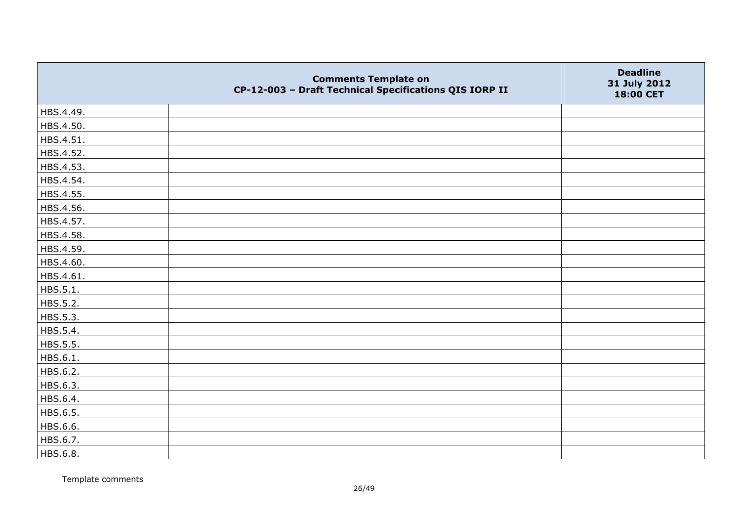|           | <b>Comments Template on</b><br>CP-12-003 - Draft Technical Specifications QIS IORP II | <b>Deadline</b><br>31 July 2012<br>18:00 CET |
|-----------|---------------------------------------------------------------------------------------|----------------------------------------------|
| HBS.4.49. |                                                                                       |                                              |
| HBS.4.50. |                                                                                       |                                              |
| HBS.4.51. |                                                                                       |                                              |
| HBS.4.52. |                                                                                       |                                              |
| HBS.4.53. |                                                                                       |                                              |
| HBS.4.54. |                                                                                       |                                              |
| HBS.4.55. |                                                                                       |                                              |
| HBS.4.56. |                                                                                       |                                              |
| HBS.4.57. |                                                                                       |                                              |
| HBS.4.58. |                                                                                       |                                              |
| HBS.4.59. |                                                                                       |                                              |
| HBS.4.60. |                                                                                       |                                              |
| HBS.4.61. |                                                                                       |                                              |
| HBS.5.1.  |                                                                                       |                                              |
| HBS.5.2.  |                                                                                       |                                              |
| HBS.5.3.  |                                                                                       |                                              |
| HBS.5.4.  |                                                                                       |                                              |
| HBS.5.5.  |                                                                                       |                                              |
| HBS.6.1.  |                                                                                       |                                              |
| HBS.6.2.  |                                                                                       |                                              |
| HBS.6.3.  |                                                                                       |                                              |
| HBS.6.4.  |                                                                                       |                                              |
| HBS.6.5.  |                                                                                       |                                              |
| HBS.6.6.  |                                                                                       |                                              |
| HBS.6.7.  |                                                                                       |                                              |
| HBS.6.8.  |                                                                                       |                                              |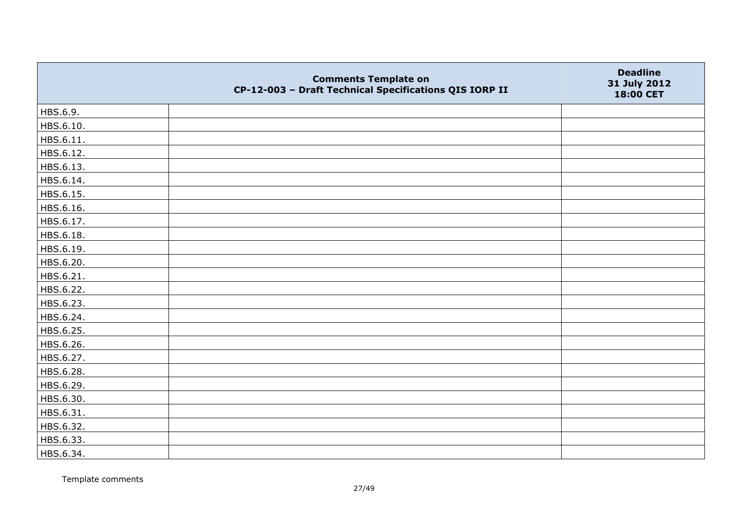|           | <b>Comments Template on</b><br>CP-12-003 - Draft Technical Specifications QIS IORP II | <b>Deadline</b><br>31 July 2012<br>18:00 CET |
|-----------|---------------------------------------------------------------------------------------|----------------------------------------------|
| HBS.6.9.  |                                                                                       |                                              |
| HBS.6.10. |                                                                                       |                                              |
| HBS.6.11. |                                                                                       |                                              |
| HBS.6.12. |                                                                                       |                                              |
| HBS.6.13. |                                                                                       |                                              |
| HBS.6.14. |                                                                                       |                                              |
| HBS.6.15. |                                                                                       |                                              |
| HBS.6.16. |                                                                                       |                                              |
| HBS.6.17. |                                                                                       |                                              |
| HBS.6.18. |                                                                                       |                                              |
| HBS.6.19. |                                                                                       |                                              |
| HBS.6.20. |                                                                                       |                                              |
| HBS.6.21. |                                                                                       |                                              |
| HBS.6.22. |                                                                                       |                                              |
| HBS.6.23. |                                                                                       |                                              |
| HBS.6.24. |                                                                                       |                                              |
| HBS.6.25. |                                                                                       |                                              |
| HBS.6.26. |                                                                                       |                                              |
| HBS.6.27. |                                                                                       |                                              |
| HBS.6.28. |                                                                                       |                                              |
| HBS.6.29. |                                                                                       |                                              |
| HBS.6.30. |                                                                                       |                                              |
| HBS.6.31. |                                                                                       |                                              |
| HBS.6.32. |                                                                                       |                                              |
| HBS.6.33. |                                                                                       |                                              |
| HBS.6.34. |                                                                                       |                                              |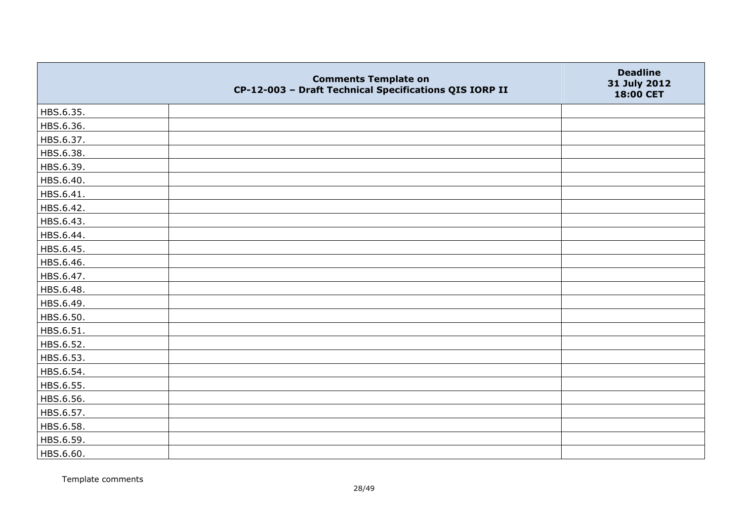|           | <b>Comments Template on</b><br>CP-12-003 - Draft Technical Specifications QIS IORP II | <b>Deadline</b><br>31 July 2012<br>18:00 CET |
|-----------|---------------------------------------------------------------------------------------|----------------------------------------------|
| HBS.6.35. |                                                                                       |                                              |
| HBS.6.36. |                                                                                       |                                              |
| HBS.6.37. |                                                                                       |                                              |
| HBS.6.38. |                                                                                       |                                              |
| HBS.6.39. |                                                                                       |                                              |
| HBS.6.40. |                                                                                       |                                              |
| HBS.6.41. |                                                                                       |                                              |
| HBS.6.42. |                                                                                       |                                              |
| HBS.6.43. |                                                                                       |                                              |
| HBS.6.44. |                                                                                       |                                              |
| HBS.6.45. |                                                                                       |                                              |
| HBS.6.46. |                                                                                       |                                              |
| HBS.6.47. |                                                                                       |                                              |
| HBS.6.48. |                                                                                       |                                              |
| HBS.6.49. |                                                                                       |                                              |
| HBS.6.50. |                                                                                       |                                              |
| HBS.6.51. |                                                                                       |                                              |
| HBS.6.52. |                                                                                       |                                              |
| HBS.6.53. |                                                                                       |                                              |
| HBS.6.54. |                                                                                       |                                              |
| HBS.6.55. |                                                                                       |                                              |
| HBS.6.56. |                                                                                       |                                              |
| HBS.6.57. |                                                                                       |                                              |
| HBS.6.58. |                                                                                       |                                              |
| HBS.6.59. |                                                                                       |                                              |
| HBS.6.60. |                                                                                       |                                              |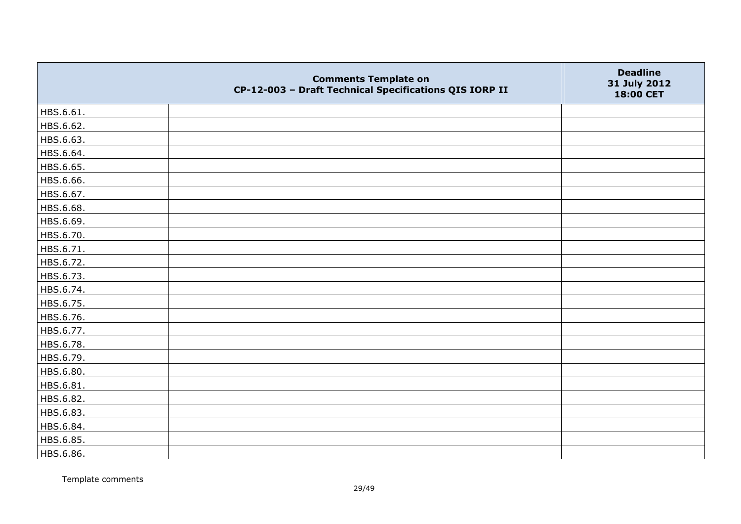|           | <b>Comments Template on</b><br>CP-12-003 - Draft Technical Specifications QIS IORP II | <b>Deadline</b><br>31 July 2012<br>18:00 CET |
|-----------|---------------------------------------------------------------------------------------|----------------------------------------------|
| HBS.6.61. |                                                                                       |                                              |
| HBS.6.62. |                                                                                       |                                              |
| HBS.6.63. |                                                                                       |                                              |
| HBS.6.64. |                                                                                       |                                              |
| HBS.6.65. |                                                                                       |                                              |
| HBS.6.66. |                                                                                       |                                              |
| HBS.6.67. |                                                                                       |                                              |
| HBS.6.68. |                                                                                       |                                              |
| HBS.6.69. |                                                                                       |                                              |
| HBS.6.70. |                                                                                       |                                              |
| HBS.6.71. |                                                                                       |                                              |
| HBS.6.72. |                                                                                       |                                              |
| HBS.6.73. |                                                                                       |                                              |
| HBS.6.74. |                                                                                       |                                              |
| HBS.6.75. |                                                                                       |                                              |
| HBS.6.76. |                                                                                       |                                              |
| HBS.6.77. |                                                                                       |                                              |
| HBS.6.78. |                                                                                       |                                              |
| HBS.6.79. |                                                                                       |                                              |
| HBS.6.80. |                                                                                       |                                              |
| HBS.6.81. |                                                                                       |                                              |
| HBS.6.82. |                                                                                       |                                              |
| HBS.6.83. |                                                                                       |                                              |
| HBS.6.84. |                                                                                       |                                              |
| HBS.6.85. |                                                                                       |                                              |
| HBS.6.86. |                                                                                       |                                              |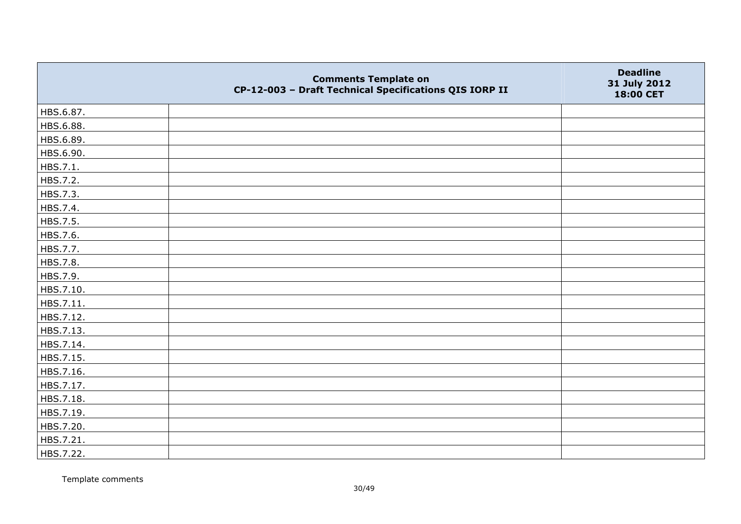|           | <b>Comments Template on</b><br>CP-12-003 - Draft Technical Specifications QIS IORP II | <b>Deadline</b><br>31 July 2012<br>18:00 CET |
|-----------|---------------------------------------------------------------------------------------|----------------------------------------------|
| HBS.6.87. |                                                                                       |                                              |
| HBS.6.88. |                                                                                       |                                              |
| HBS.6.89. |                                                                                       |                                              |
| HBS.6.90. |                                                                                       |                                              |
| HBS.7.1.  |                                                                                       |                                              |
| HBS.7.2.  |                                                                                       |                                              |
| HBS.7.3.  |                                                                                       |                                              |
| HBS.7.4.  |                                                                                       |                                              |
| HBS.7.5.  |                                                                                       |                                              |
| HBS.7.6.  |                                                                                       |                                              |
| HBS.7.7.  |                                                                                       |                                              |
| HBS.7.8.  |                                                                                       |                                              |
| HBS.7.9.  |                                                                                       |                                              |
| HBS.7.10. |                                                                                       |                                              |
| HBS.7.11. |                                                                                       |                                              |
| HBS.7.12. |                                                                                       |                                              |
| HBS.7.13. |                                                                                       |                                              |
| HBS.7.14. |                                                                                       |                                              |
| HBS.7.15. |                                                                                       |                                              |
| HBS.7.16. |                                                                                       |                                              |
| HBS.7.17. |                                                                                       |                                              |
| HBS.7.18. |                                                                                       |                                              |
| HBS.7.19. |                                                                                       |                                              |
| HBS.7.20. |                                                                                       |                                              |
| HBS.7.21. |                                                                                       |                                              |
| HBS.7.22. |                                                                                       |                                              |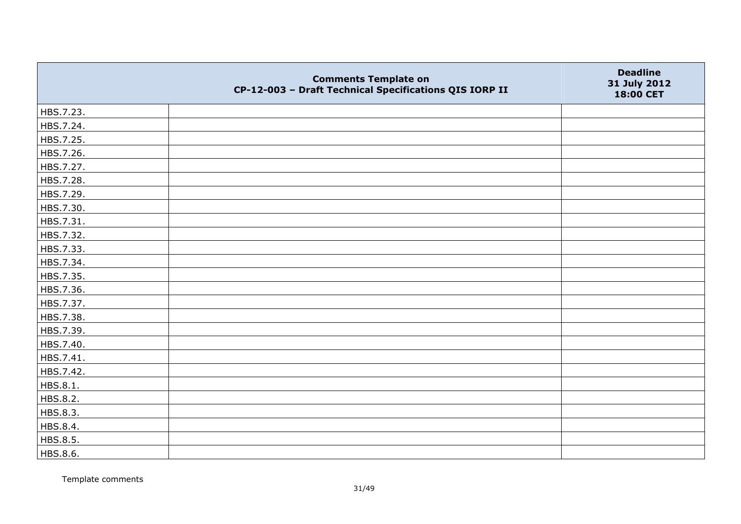|           | <b>Comments Template on</b><br>CP-12-003 - Draft Technical Specifications QIS IORP II | <b>Deadline</b><br>31 July 2012<br>18:00 CET |
|-----------|---------------------------------------------------------------------------------------|----------------------------------------------|
| HBS.7.23. |                                                                                       |                                              |
| HBS.7.24. |                                                                                       |                                              |
| HBS.7.25. |                                                                                       |                                              |
| HBS.7.26. |                                                                                       |                                              |
| HBS.7.27. |                                                                                       |                                              |
| HBS.7.28. |                                                                                       |                                              |
| HBS.7.29. |                                                                                       |                                              |
| HBS.7.30. |                                                                                       |                                              |
| HBS.7.31. |                                                                                       |                                              |
| HBS.7.32. |                                                                                       |                                              |
| HBS.7.33. |                                                                                       |                                              |
| HBS.7.34. |                                                                                       |                                              |
| HBS.7.35. |                                                                                       |                                              |
| HBS.7.36. |                                                                                       |                                              |
| HBS.7.37. |                                                                                       |                                              |
| HBS.7.38. |                                                                                       |                                              |
| HBS.7.39. |                                                                                       |                                              |
| HBS.7.40. |                                                                                       |                                              |
| HBS.7.41. |                                                                                       |                                              |
| HBS.7.42. |                                                                                       |                                              |
| HBS.8.1.  |                                                                                       |                                              |
| HBS.8.2.  |                                                                                       |                                              |
| HBS.8.3.  |                                                                                       |                                              |
| HBS.8.4.  |                                                                                       |                                              |
| HBS.8.5.  |                                                                                       |                                              |
| HBS.8.6.  |                                                                                       |                                              |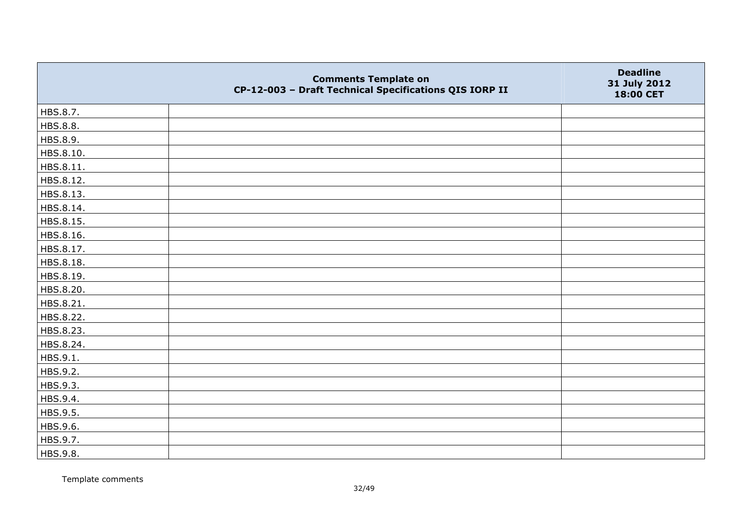|           | <b>Comments Template on</b><br>CP-12-003 - Draft Technical Specifications QIS IORP II | <b>Deadline</b><br>31 July 2012<br>18:00 CET |
|-----------|---------------------------------------------------------------------------------------|----------------------------------------------|
| HBS.8.7.  |                                                                                       |                                              |
| HBS.8.8.  |                                                                                       |                                              |
| HBS.8.9.  |                                                                                       |                                              |
| HBS.8.10. |                                                                                       |                                              |
| HBS.8.11. |                                                                                       |                                              |
| HBS.8.12. |                                                                                       |                                              |
| HBS.8.13. |                                                                                       |                                              |
| HBS.8.14. |                                                                                       |                                              |
| HBS.8.15. |                                                                                       |                                              |
| HBS.8.16. |                                                                                       |                                              |
| HBS.8.17. |                                                                                       |                                              |
| HBS.8.18. |                                                                                       |                                              |
| HBS.8.19. |                                                                                       |                                              |
| HBS.8.20. |                                                                                       |                                              |
| HBS.8.21. |                                                                                       |                                              |
| HBS.8.22. |                                                                                       |                                              |
| HBS.8.23. |                                                                                       |                                              |
| HBS.8.24. |                                                                                       |                                              |
| HBS.9.1.  |                                                                                       |                                              |
| HBS.9.2.  |                                                                                       |                                              |
| HBS.9.3.  |                                                                                       |                                              |
| HBS.9.4.  |                                                                                       |                                              |
| HBS.9.5.  |                                                                                       |                                              |
| HBS.9.6.  |                                                                                       |                                              |
| HBS.9.7.  |                                                                                       |                                              |
| HBS.9.8.  |                                                                                       |                                              |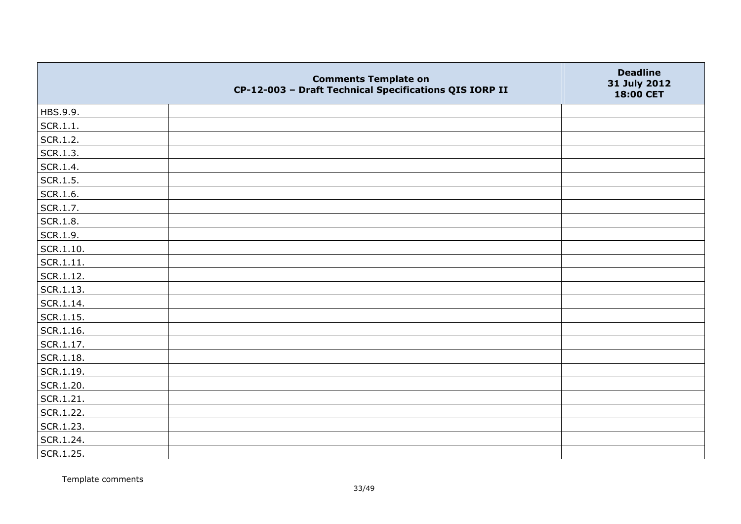|                   | <b>Comments Template on</b><br>CP-12-003 - Draft Technical Specifications QIS IORP II | <b>Deadline</b><br>31 July 2012<br>18:00 CET |
|-------------------|---------------------------------------------------------------------------------------|----------------------------------------------|
| HBS.9.9.          |                                                                                       |                                              |
| SCR.1.1.          |                                                                                       |                                              |
| SCR.1.2.          |                                                                                       |                                              |
| SCR.1.3.          |                                                                                       |                                              |
| SCR.1.4.          |                                                                                       |                                              |
| SCR.1.5.          |                                                                                       |                                              |
| SCR.1.6.          |                                                                                       |                                              |
| SCR.1.7.          |                                                                                       |                                              |
| SCR.1.8.          |                                                                                       |                                              |
| SCR.1.9.          |                                                                                       |                                              |
| SCR.1.10.         |                                                                                       |                                              |
| $ $ SCR.1.11.     |                                                                                       |                                              |
| SCR.1.12.         |                                                                                       |                                              |
| $ $ SCR.1.13.     |                                                                                       |                                              |
| SCR.1.14.         |                                                                                       |                                              |
| SCR.1.15.         |                                                                                       |                                              |
| SCR.1.16.         |                                                                                       |                                              |
| $\vert$ SCR.1.17. |                                                                                       |                                              |
| SCR.1.18.         |                                                                                       |                                              |
| SCR.1.19.         |                                                                                       |                                              |
| SCR.1.20.         |                                                                                       |                                              |
| SCR.1.21.         |                                                                                       |                                              |
| SCR.1.22.         |                                                                                       |                                              |
| SCR.1.23.         |                                                                                       |                                              |
| SCR.1.24.         |                                                                                       |                                              |
| SCR.1.25.         |                                                                                       |                                              |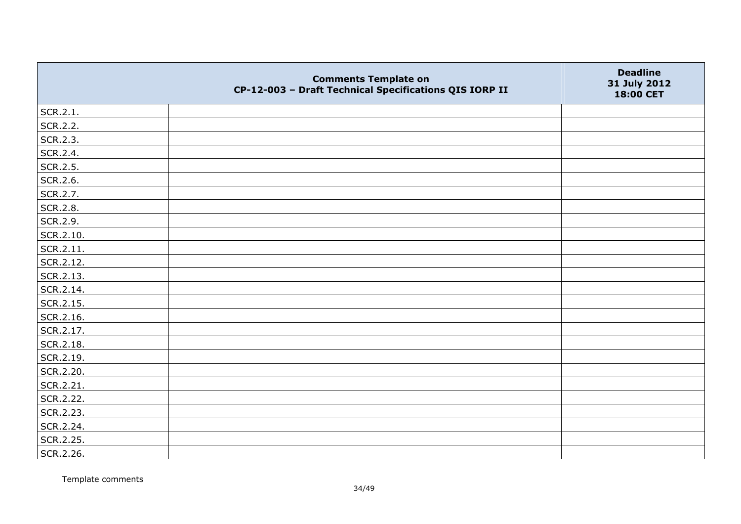|               | <b>Comments Template on</b><br>CP-12-003 - Draft Technical Specifications QIS IORP II | <b>Deadline</b><br>31 July 2012<br>18:00 CET |
|---------------|---------------------------------------------------------------------------------------|----------------------------------------------|
| SCR.2.1.      |                                                                                       |                                              |
| SCR.2.2.      |                                                                                       |                                              |
| SCR.2.3.      |                                                                                       |                                              |
| SCR.2.4.      |                                                                                       |                                              |
| SCR.2.5.      |                                                                                       |                                              |
| SCR.2.6.      |                                                                                       |                                              |
| SCR.2.7.      |                                                                                       |                                              |
| SCR.2.8.      |                                                                                       |                                              |
| SCR.2.9.      |                                                                                       |                                              |
| SCR.2.10.     |                                                                                       |                                              |
| $ $ SCR.2.11. |                                                                                       |                                              |
| SCR.2.12.     |                                                                                       |                                              |
| SCR.2.13.     |                                                                                       |                                              |
| SCR.2.14.     |                                                                                       |                                              |
| SCR.2.15.     |                                                                                       |                                              |
| SCR.2.16.     |                                                                                       |                                              |
| SCR.2.17.     |                                                                                       |                                              |
| SCR.2.18.     |                                                                                       |                                              |
| SCR.2.19.     |                                                                                       |                                              |
| SCR.2.20.     |                                                                                       |                                              |
| SCR.2.21.     |                                                                                       |                                              |
| SCR.2.22.     |                                                                                       |                                              |
| SCR.2.23.     |                                                                                       |                                              |
| SCR.2.24.     |                                                                                       |                                              |
| SCR.2.25.     |                                                                                       |                                              |
| SCR.2.26.     |                                                                                       |                                              |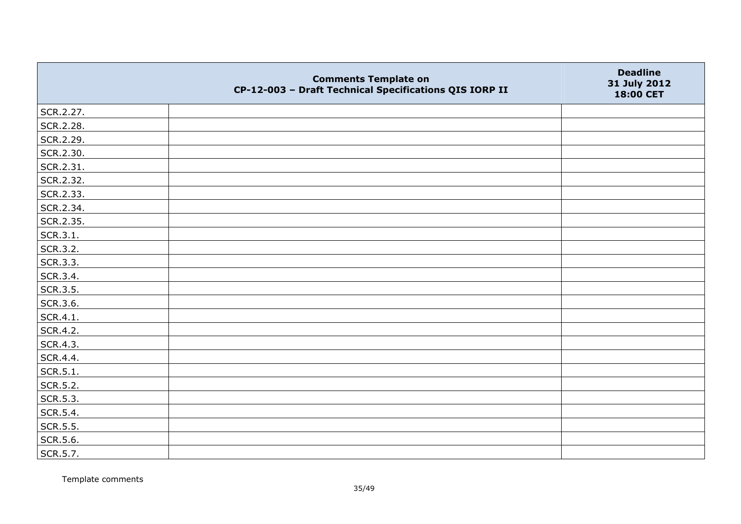|           | <b>Comments Template on</b><br>CP-12-003 - Draft Technical Specifications QIS IORP II | <b>Deadline</b><br>31 July 2012<br>18:00 CET |
|-----------|---------------------------------------------------------------------------------------|----------------------------------------------|
| SCR.2.27. |                                                                                       |                                              |
| SCR.2.28. |                                                                                       |                                              |
| SCR.2.29. |                                                                                       |                                              |
| SCR.2.30. |                                                                                       |                                              |
| SCR.2.31. |                                                                                       |                                              |
| SCR.2.32. |                                                                                       |                                              |
| SCR.2.33. |                                                                                       |                                              |
| SCR.2.34. |                                                                                       |                                              |
| SCR.2.35. |                                                                                       |                                              |
| SCR.3.1.  |                                                                                       |                                              |
| SCR.3.2.  |                                                                                       |                                              |
| SCR.3.3.  |                                                                                       |                                              |
| SCR.3.4.  |                                                                                       |                                              |
| SCR.3.5.  |                                                                                       |                                              |
| SCR.3.6.  |                                                                                       |                                              |
| SCR.4.1.  |                                                                                       |                                              |
| SCR.4.2.  |                                                                                       |                                              |
| SCR.4.3.  |                                                                                       |                                              |
| SCR.4.4.  |                                                                                       |                                              |
| SCR.5.1.  |                                                                                       |                                              |
| SCR.5.2.  |                                                                                       |                                              |
| SCR.5.3.  |                                                                                       |                                              |
| SCR.5.4.  |                                                                                       |                                              |
| SCR.5.5.  |                                                                                       |                                              |
| SCR.5.6.  |                                                                                       |                                              |
| SCR.5.7.  |                                                                                       |                                              |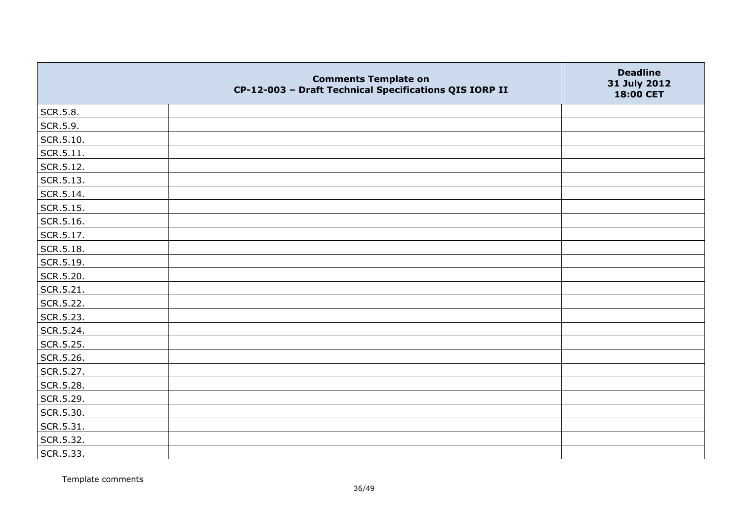|                   | <b>Comments Template on</b><br>CP-12-003 - Draft Technical Specifications QIS IORP II | <b>Deadline</b><br>31 July 2012<br>18:00 CET |
|-------------------|---------------------------------------------------------------------------------------|----------------------------------------------|
| SCR.5.8.          |                                                                                       |                                              |
| SCR.5.9.          |                                                                                       |                                              |
| SCR.5.10.         |                                                                                       |                                              |
| SCR.5.11.         |                                                                                       |                                              |
| SCR.5.12.         |                                                                                       |                                              |
| $\vert$ SCR.5.13. |                                                                                       |                                              |
| SCR.5.14.         |                                                                                       |                                              |
| SCR.5.15.         |                                                                                       |                                              |
| SCR.5.16.         |                                                                                       |                                              |
| SCR.5.17.         |                                                                                       |                                              |
| SCR.5.18.         |                                                                                       |                                              |
| SCR.5.19.         |                                                                                       |                                              |
| SCR.5.20.         |                                                                                       |                                              |
| SCR.5.21.         |                                                                                       |                                              |
| SCR.5.22.         |                                                                                       |                                              |
| SCR.5.23.         |                                                                                       |                                              |
| SCR.5.24.         |                                                                                       |                                              |
| SCR.5.25.         |                                                                                       |                                              |
| SCR.5.26.         |                                                                                       |                                              |
| SCR.5.27.         |                                                                                       |                                              |
| SCR.5.28.         |                                                                                       |                                              |
| SCR.5.29.         |                                                                                       |                                              |
| SCR.5.30.         |                                                                                       |                                              |
| $\vert$ SCR.5.31. |                                                                                       |                                              |
| SCR.5.32.         |                                                                                       |                                              |
| SCR.5.33.         |                                                                                       |                                              |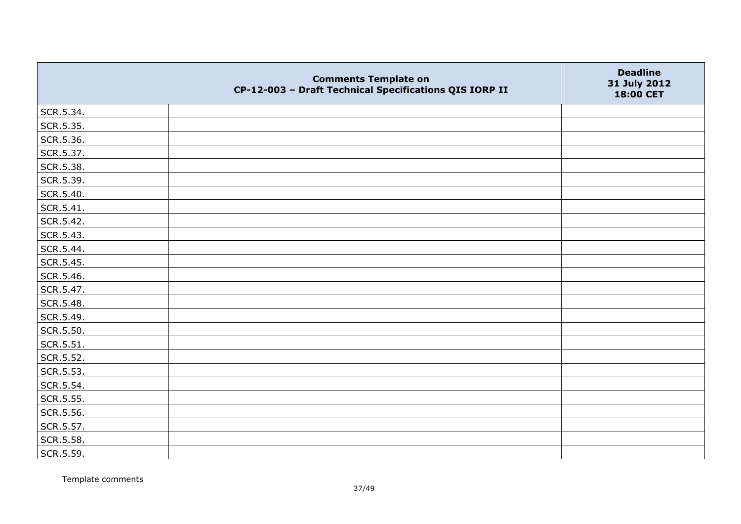|           | <b>Comments Template on</b><br>CP-12-003 - Draft Technical Specifications QIS IORP II | <b>Deadline</b><br>31 July 2012<br>18:00 CET |
|-----------|---------------------------------------------------------------------------------------|----------------------------------------------|
| SCR.5.34. |                                                                                       |                                              |
| SCR.5.35. |                                                                                       |                                              |
| SCR.5.36. |                                                                                       |                                              |
| SCR.5.37. |                                                                                       |                                              |
| SCR.5.38. |                                                                                       |                                              |
| SCR.5.39. |                                                                                       |                                              |
| SCR.5.40. |                                                                                       |                                              |
| SCR.5.41. |                                                                                       |                                              |
| SCR.5.42. |                                                                                       |                                              |
| SCR.5.43. |                                                                                       |                                              |
| SCR.5.44. |                                                                                       |                                              |
| SCR.5.45. |                                                                                       |                                              |
| SCR.5.46. |                                                                                       |                                              |
| SCR.5.47. |                                                                                       |                                              |
| SCR.5.48. |                                                                                       |                                              |
| SCR.5.49. |                                                                                       |                                              |
| SCR.5.50. |                                                                                       |                                              |
| SCR.5.51. |                                                                                       |                                              |
| SCR.5.52. |                                                                                       |                                              |
| SCR.5.53. |                                                                                       |                                              |
| SCR.5.54. |                                                                                       |                                              |
| SCR.5.55. |                                                                                       |                                              |
| SCR.5.56. |                                                                                       |                                              |
| SCR.5.57. |                                                                                       |                                              |
| SCR.5.58. |                                                                                       |                                              |
| SCR.5.59. |                                                                                       |                                              |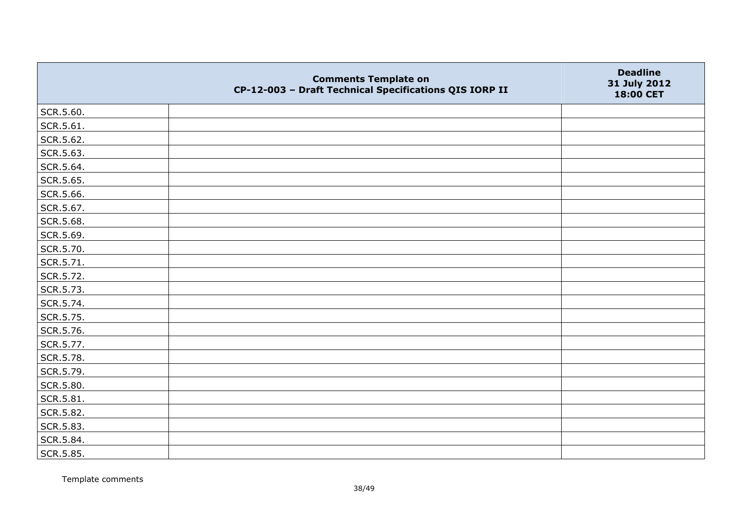|           | <b>Comments Template on</b><br>CP-12-003 - Draft Technical Specifications QIS IORP II | <b>Deadline</b><br>31 July 2012<br>18:00 CET |
|-----------|---------------------------------------------------------------------------------------|----------------------------------------------|
| SCR.5.60. |                                                                                       |                                              |
| SCR.5.61. |                                                                                       |                                              |
| SCR.5.62. |                                                                                       |                                              |
| SCR.5.63. |                                                                                       |                                              |
| SCR.5.64. |                                                                                       |                                              |
| SCR.5.65. |                                                                                       |                                              |
| SCR.5.66. |                                                                                       |                                              |
| SCR.5.67. |                                                                                       |                                              |
| SCR.5.68. |                                                                                       |                                              |
| SCR.5.69. |                                                                                       |                                              |
| SCR.5.70. |                                                                                       |                                              |
| SCR.5.71. |                                                                                       |                                              |
| SCR.5.72. |                                                                                       |                                              |
| SCR.5.73. |                                                                                       |                                              |
| SCR.5.74. |                                                                                       |                                              |
| SCR.5.75. |                                                                                       |                                              |
| SCR.5.76. |                                                                                       |                                              |
| SCR.5.77. |                                                                                       |                                              |
| SCR.5.78. |                                                                                       |                                              |
| SCR.5.79. |                                                                                       |                                              |
| SCR.5.80. |                                                                                       |                                              |
| SCR.5.81. |                                                                                       |                                              |
| SCR.5.82. |                                                                                       |                                              |
| SCR.5.83. |                                                                                       |                                              |
| SCR.5.84. |                                                                                       |                                              |
| SCR.5.85. |                                                                                       |                                              |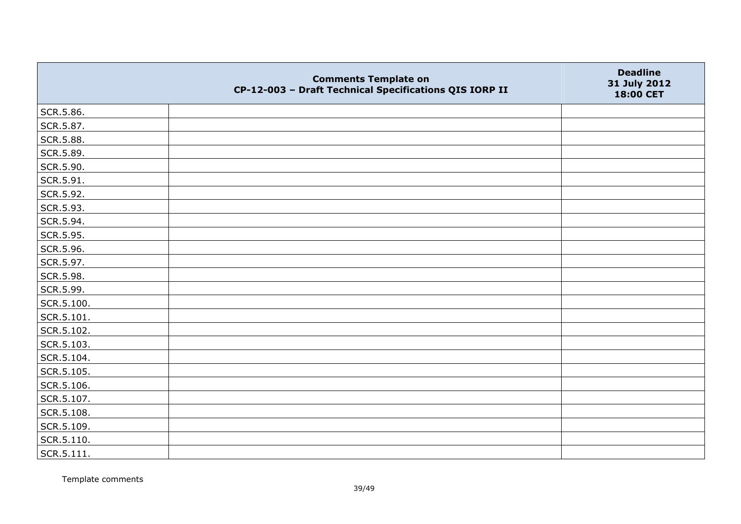|                    | <b>Comments Template on</b><br>CP-12-003 - Draft Technical Specifications QIS IORP II | <b>Deadline</b><br>31 July 2012<br>18:00 CET |
|--------------------|---------------------------------------------------------------------------------------|----------------------------------------------|
| SCR.5.86.          |                                                                                       |                                              |
| SCR.5.87.          |                                                                                       |                                              |
| SCR.5.88.          |                                                                                       |                                              |
| SCR.5.89.          |                                                                                       |                                              |
| SCR.5.90.          |                                                                                       |                                              |
| SCR.5.91.          |                                                                                       |                                              |
| SCR.5.92.          |                                                                                       |                                              |
| SCR.5.93.          |                                                                                       |                                              |
| SCR.5.94.          |                                                                                       |                                              |
| SCR.5.95.          |                                                                                       |                                              |
| SCR.5.96.          |                                                                                       |                                              |
| SCR.5.97.          |                                                                                       |                                              |
| SCR.5.98.          |                                                                                       |                                              |
| SCR.5.99.          |                                                                                       |                                              |
| SCR.5.100.         |                                                                                       |                                              |
| SCR.5.101.         |                                                                                       |                                              |
| SCR.5.102.         |                                                                                       |                                              |
| SCR.5.103.         |                                                                                       |                                              |
| SCR.5.104.         |                                                                                       |                                              |
| SCR.5.105.         |                                                                                       |                                              |
| SCR.5.106.         |                                                                                       |                                              |
| SCR.5.107.         |                                                                                       |                                              |
| SCR.5.108.         |                                                                                       |                                              |
| SCR.5.109.         |                                                                                       |                                              |
| SCR.5.110.         |                                                                                       |                                              |
| $\vert$ SCR.5.111. |                                                                                       |                                              |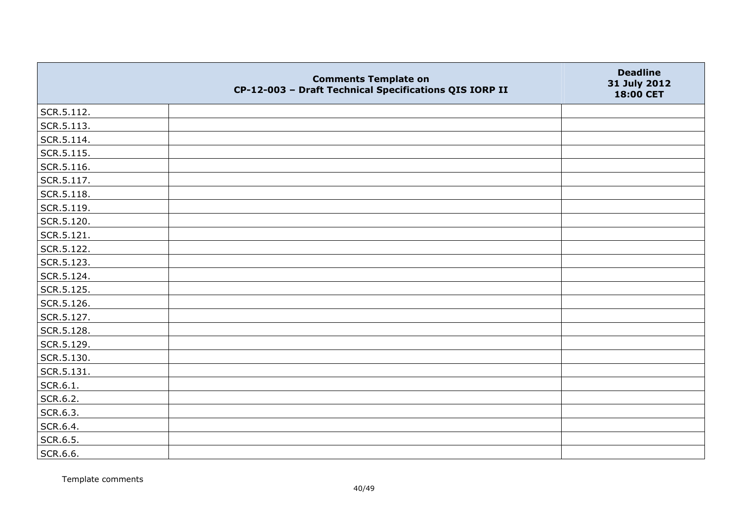|                | <b>Comments Template on</b><br>CP-12-003 - Draft Technical Specifications QIS IORP II | <b>Deadline</b><br>31 July 2012<br>18:00 CET |
|----------------|---------------------------------------------------------------------------------------|----------------------------------------------|
| SCR.5.112.     |                                                                                       |                                              |
| SCR.5.113.     |                                                                                       |                                              |
| SCR.5.114.     |                                                                                       |                                              |
| $ $ SCR.5.115. |                                                                                       |                                              |
| SCR.5.116.     |                                                                                       |                                              |
| SCR.5.117.     |                                                                                       |                                              |
| SCR.5.118.     |                                                                                       |                                              |
| SCR.5.119.     |                                                                                       |                                              |
| SCR.5.120.     |                                                                                       |                                              |
| SCR.5.121.     |                                                                                       |                                              |
| SCR.5.122.     |                                                                                       |                                              |
| SCR.5.123.     |                                                                                       |                                              |
| SCR.5.124.     |                                                                                       |                                              |
| SCR.5.125.     |                                                                                       |                                              |
| SCR.5.126.     |                                                                                       |                                              |
| SCR.5.127.     |                                                                                       |                                              |
| SCR.5.128.     |                                                                                       |                                              |
| SCR.5.129.     |                                                                                       |                                              |
| SCR.5.130.     |                                                                                       |                                              |
| SCR.5.131.     |                                                                                       |                                              |
| SCR.6.1.       |                                                                                       |                                              |
| SCR.6.2.       |                                                                                       |                                              |
| SCR.6.3.       |                                                                                       |                                              |
| SCR.6.4.       |                                                                                       |                                              |
| SCR.6.5.       |                                                                                       |                                              |
| SCR.6.6.       |                                                                                       |                                              |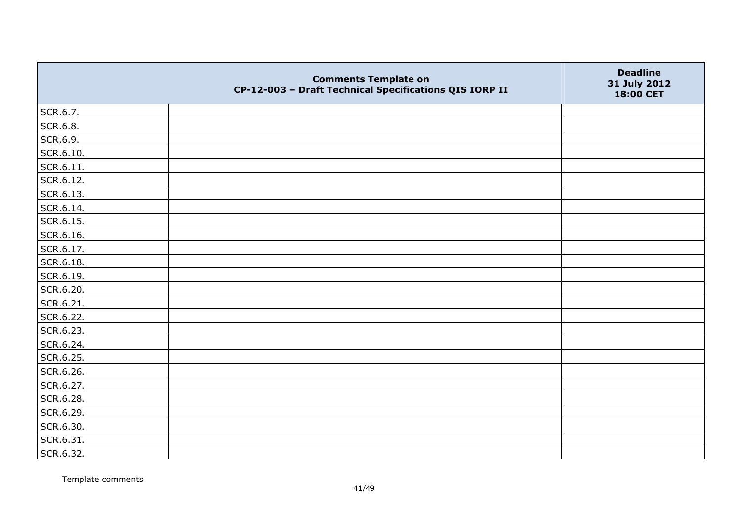|           | <b>Comments Template on</b><br>CP-12-003 - Draft Technical Specifications QIS IORP II | <b>Deadline</b><br>31 July 2012<br>18:00 CET |
|-----------|---------------------------------------------------------------------------------------|----------------------------------------------|
| SCR.6.7.  |                                                                                       |                                              |
| SCR.6.8.  |                                                                                       |                                              |
| SCR.6.9.  |                                                                                       |                                              |
| SCR.6.10. |                                                                                       |                                              |
| SCR.6.11. |                                                                                       |                                              |
| SCR.6.12. |                                                                                       |                                              |
| SCR.6.13. |                                                                                       |                                              |
| SCR.6.14. |                                                                                       |                                              |
| SCR.6.15. |                                                                                       |                                              |
| SCR.6.16. |                                                                                       |                                              |
| SCR.6.17. |                                                                                       |                                              |
| SCR.6.18. |                                                                                       |                                              |
| SCR.6.19. |                                                                                       |                                              |
| SCR.6.20. |                                                                                       |                                              |
| SCR.6.21. |                                                                                       |                                              |
| SCR.6.22. |                                                                                       |                                              |
| SCR.6.23. |                                                                                       |                                              |
| SCR.6.24. |                                                                                       |                                              |
| SCR.6.25. |                                                                                       |                                              |
| SCR.6.26. |                                                                                       |                                              |
| SCR.6.27. |                                                                                       |                                              |
| SCR.6.28. |                                                                                       |                                              |
| SCR.6.29. |                                                                                       |                                              |
| SCR.6.30. |                                                                                       |                                              |
| SCR.6.31. |                                                                                       |                                              |
| SCR.6.32. |                                                                                       |                                              |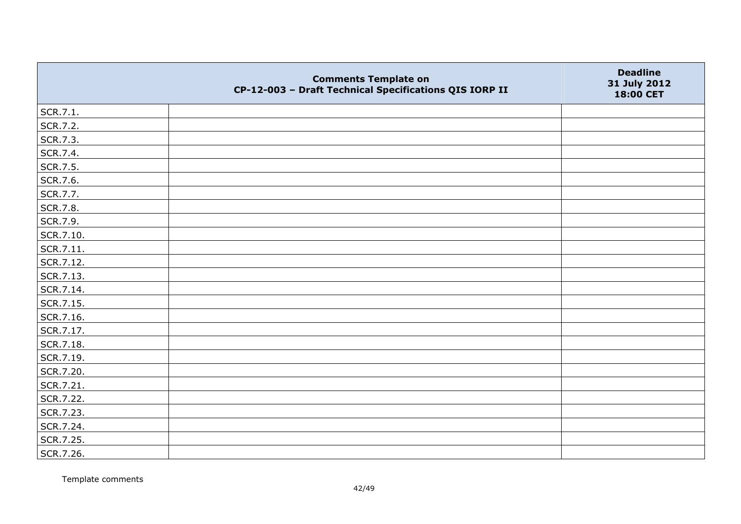|           | <b>Comments Template on</b><br>CP-12-003 - Draft Technical Specifications QIS IORP II | <b>Deadline</b><br>31 July 2012<br>18:00 CET |
|-----------|---------------------------------------------------------------------------------------|----------------------------------------------|
| SCR.7.1.  |                                                                                       |                                              |
| SCR.7.2.  |                                                                                       |                                              |
| SCR.7.3.  |                                                                                       |                                              |
| SCR.7.4.  |                                                                                       |                                              |
| SCR.7.5.  |                                                                                       |                                              |
| SCR.7.6.  |                                                                                       |                                              |
| SCR.7.7.  |                                                                                       |                                              |
| SCR.7.8.  |                                                                                       |                                              |
| SCR.7.9.  |                                                                                       |                                              |
| SCR.7.10. |                                                                                       |                                              |
| SCR.7.11. |                                                                                       |                                              |
| SCR.7.12. |                                                                                       |                                              |
| SCR.7.13. |                                                                                       |                                              |
| SCR.7.14. |                                                                                       |                                              |
| SCR.7.15. |                                                                                       |                                              |
| SCR.7.16. |                                                                                       |                                              |
| SCR.7.17. |                                                                                       |                                              |
| SCR.7.18. |                                                                                       |                                              |
| SCR.7.19. |                                                                                       |                                              |
| SCR.7.20. |                                                                                       |                                              |
| SCR.7.21. |                                                                                       |                                              |
| SCR.7.22. |                                                                                       |                                              |
| SCR.7.23. |                                                                                       |                                              |
| SCR.7.24. |                                                                                       |                                              |
| SCR.7.25. |                                                                                       |                                              |
| SCR.7.26. |                                                                                       |                                              |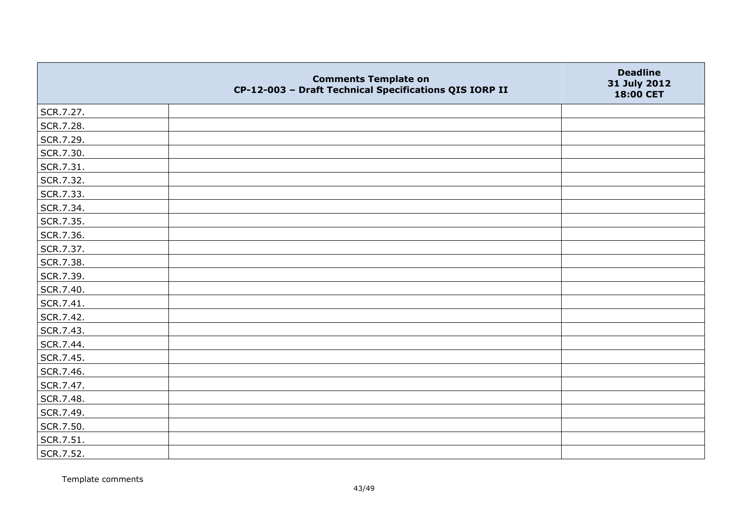|           | <b>Comments Template on</b><br>CP-12-003 - Draft Technical Specifications QIS IORP II | <b>Deadline</b><br>31 July 2012<br>18:00 CET |
|-----------|---------------------------------------------------------------------------------------|----------------------------------------------|
| SCR.7.27. |                                                                                       |                                              |
| SCR.7.28. |                                                                                       |                                              |
| SCR.7.29. |                                                                                       |                                              |
| SCR.7.30. |                                                                                       |                                              |
| SCR.7.31. |                                                                                       |                                              |
| SCR.7.32. |                                                                                       |                                              |
| SCR.7.33. |                                                                                       |                                              |
| SCR.7.34. |                                                                                       |                                              |
| SCR.7.35. |                                                                                       |                                              |
| SCR.7.36. |                                                                                       |                                              |
| SCR.7.37. |                                                                                       |                                              |
| SCR.7.38. |                                                                                       |                                              |
| SCR.7.39. |                                                                                       |                                              |
| SCR.7.40. |                                                                                       |                                              |
| SCR.7.41. |                                                                                       |                                              |
| SCR.7.42. |                                                                                       |                                              |
| SCR.7.43. |                                                                                       |                                              |
| SCR.7.44. |                                                                                       |                                              |
| SCR.7.45. |                                                                                       |                                              |
| SCR.7.46. |                                                                                       |                                              |
| SCR.7.47. |                                                                                       |                                              |
| SCR.7.48. |                                                                                       |                                              |
| SCR.7.49. |                                                                                       |                                              |
| SCR.7.50. |                                                                                       |                                              |
| SCR.7.51. |                                                                                       |                                              |
| SCR.7.52. |                                                                                       |                                              |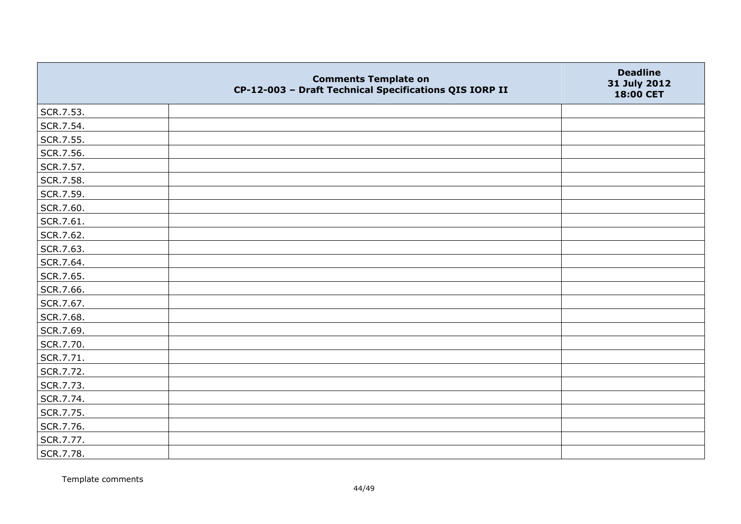|           | <b>Comments Template on</b><br>CP-12-003 - Draft Technical Specifications QIS IORP II | <b>Deadline</b><br>31 July 2012<br>18:00 CET |
|-----------|---------------------------------------------------------------------------------------|----------------------------------------------|
| SCR.7.53. |                                                                                       |                                              |
| SCR.7.54. |                                                                                       |                                              |
| SCR.7.55. |                                                                                       |                                              |
| SCR.7.56. |                                                                                       |                                              |
| SCR.7.57. |                                                                                       |                                              |
| SCR.7.58. |                                                                                       |                                              |
| SCR.7.59. |                                                                                       |                                              |
| SCR.7.60. |                                                                                       |                                              |
| SCR.7.61. |                                                                                       |                                              |
| SCR.7.62. |                                                                                       |                                              |
| SCR.7.63. |                                                                                       |                                              |
| SCR.7.64. |                                                                                       |                                              |
| SCR.7.65. |                                                                                       |                                              |
| SCR.7.66. |                                                                                       |                                              |
| SCR.7.67. |                                                                                       |                                              |
| SCR.7.68. |                                                                                       |                                              |
| SCR.7.69. |                                                                                       |                                              |
| SCR.7.70. |                                                                                       |                                              |
| SCR.7.71. |                                                                                       |                                              |
| SCR.7.72. |                                                                                       |                                              |
| SCR.7.73. |                                                                                       |                                              |
| SCR.7.74. |                                                                                       |                                              |
| SCR.7.75. |                                                                                       |                                              |
| SCR.7.76. |                                                                                       |                                              |
| SCR.7.77. |                                                                                       |                                              |
| SCR.7.78. |                                                                                       |                                              |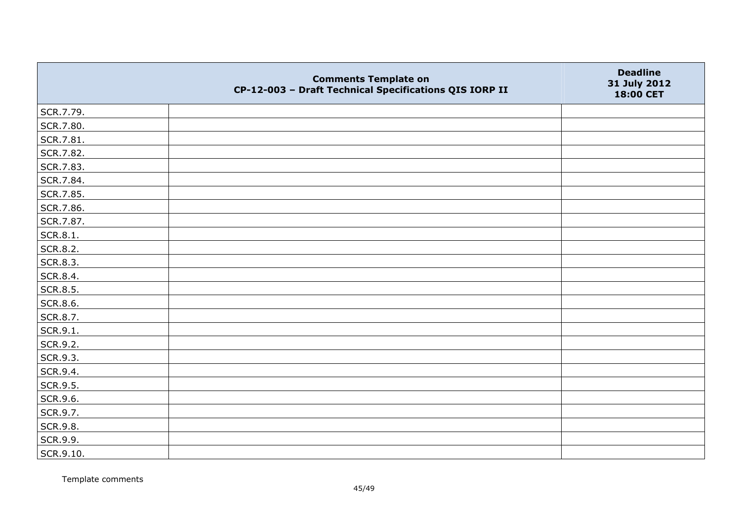|           | <b>Comments Template on</b><br>CP-12-003 - Draft Technical Specifications QIS IORP II | <b>Deadline</b><br>31 July 2012<br>18:00 CET |
|-----------|---------------------------------------------------------------------------------------|----------------------------------------------|
| SCR.7.79. |                                                                                       |                                              |
| SCR.7.80. |                                                                                       |                                              |
| SCR.7.81. |                                                                                       |                                              |
| SCR.7.82. |                                                                                       |                                              |
| SCR.7.83. |                                                                                       |                                              |
| SCR.7.84. |                                                                                       |                                              |
| SCR.7.85. |                                                                                       |                                              |
| SCR.7.86. |                                                                                       |                                              |
| SCR.7.87. |                                                                                       |                                              |
| SCR.8.1.  |                                                                                       |                                              |
| SCR.8.2.  |                                                                                       |                                              |
| SCR.8.3.  |                                                                                       |                                              |
| SCR.8.4.  |                                                                                       |                                              |
| SCR.8.5.  |                                                                                       |                                              |
| SCR.8.6.  |                                                                                       |                                              |
| SCR.8.7.  |                                                                                       |                                              |
| SCR.9.1.  |                                                                                       |                                              |
| SCR.9.2.  |                                                                                       |                                              |
| SCR.9.3.  |                                                                                       |                                              |
| SCR.9.4.  |                                                                                       |                                              |
| SCR.9.5.  |                                                                                       |                                              |
| SCR.9.6.  |                                                                                       |                                              |
| SCR.9.7.  |                                                                                       |                                              |
| SCR.9.8.  |                                                                                       |                                              |
| SCR.9.9.  |                                                                                       |                                              |
| SCR.9.10. |                                                                                       |                                              |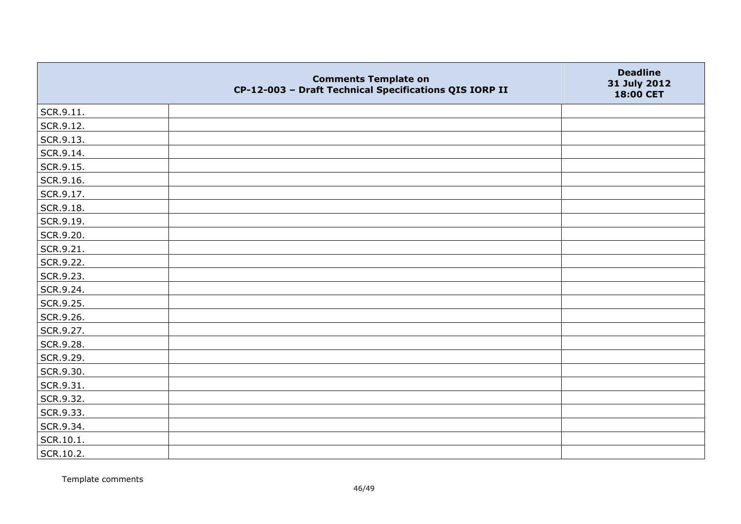|           | <b>Comments Template on</b><br>CP-12-003 - Draft Technical Specifications QIS IORP II | <b>Deadline</b><br>31 July 2012<br>18:00 CET |
|-----------|---------------------------------------------------------------------------------------|----------------------------------------------|
| SCR.9.11. |                                                                                       |                                              |
| SCR.9.12. |                                                                                       |                                              |
| SCR.9.13. |                                                                                       |                                              |
| SCR.9.14. |                                                                                       |                                              |
| SCR.9.15. |                                                                                       |                                              |
| SCR.9.16. |                                                                                       |                                              |
| SCR.9.17. |                                                                                       |                                              |
| SCR.9.18. |                                                                                       |                                              |
| SCR.9.19. |                                                                                       |                                              |
| SCR.9.20. |                                                                                       |                                              |
| SCR.9.21. |                                                                                       |                                              |
| SCR.9.22. |                                                                                       |                                              |
| SCR.9.23. |                                                                                       |                                              |
| SCR.9.24. |                                                                                       |                                              |
| SCR.9.25. |                                                                                       |                                              |
| SCR.9.26. |                                                                                       |                                              |
| SCR.9.27. |                                                                                       |                                              |
| SCR.9.28. |                                                                                       |                                              |
| SCR.9.29. |                                                                                       |                                              |
| SCR.9.30. |                                                                                       |                                              |
| SCR.9.31. |                                                                                       |                                              |
| SCR.9.32. |                                                                                       |                                              |
| SCR.9.33. |                                                                                       |                                              |
| SCR.9.34. |                                                                                       |                                              |
| SCR.10.1. |                                                                                       |                                              |
| SCR.10.2. |                                                                                       |                                              |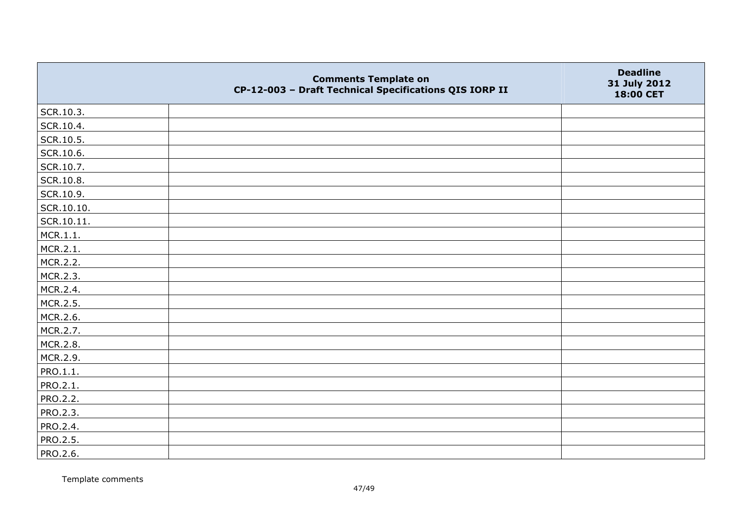|                 | <b>Comments Template on</b><br>CP-12-003 - Draft Technical Specifications QIS IORP II | <b>Deadline</b><br>31 July 2012<br>18:00 CET |
|-----------------|---------------------------------------------------------------------------------------|----------------------------------------------|
| SCR.10.3.       |                                                                                       |                                              |
| SCR.10.4.       |                                                                                       |                                              |
| SCR.10.5.       |                                                                                       |                                              |
| SCR.10.6.       |                                                                                       |                                              |
| SCR.10.7.       |                                                                                       |                                              |
| SCR.10.8.       |                                                                                       |                                              |
| SCR.10.9.       |                                                                                       |                                              |
| SCR.10.10.      |                                                                                       |                                              |
| SCR.10.11.      |                                                                                       |                                              |
| MCR.1.1.        |                                                                                       |                                              |
| MCR.2.1.        |                                                                                       |                                              |
| MCR.2.2.        |                                                                                       |                                              |
| MCR.2.3.        |                                                                                       |                                              |
| MCR.2.4.        |                                                                                       |                                              |
| MCR.2.5.        |                                                                                       |                                              |
| MCR.2.6.        |                                                                                       |                                              |
| MCR.2.7.        |                                                                                       |                                              |
| MCR.2.8.        |                                                                                       |                                              |
| MCR.2.9.        |                                                                                       |                                              |
| PRO.1.1.        |                                                                                       |                                              |
| PRO.2.1.        |                                                                                       |                                              |
| PRO.2.2.        |                                                                                       |                                              |
| PRO.2.3.        |                                                                                       |                                              |
| PRO.2.4.        |                                                                                       |                                              |
| PRO.2.5.        |                                                                                       |                                              |
| <b>PRO.2.6.</b> |                                                                                       |                                              |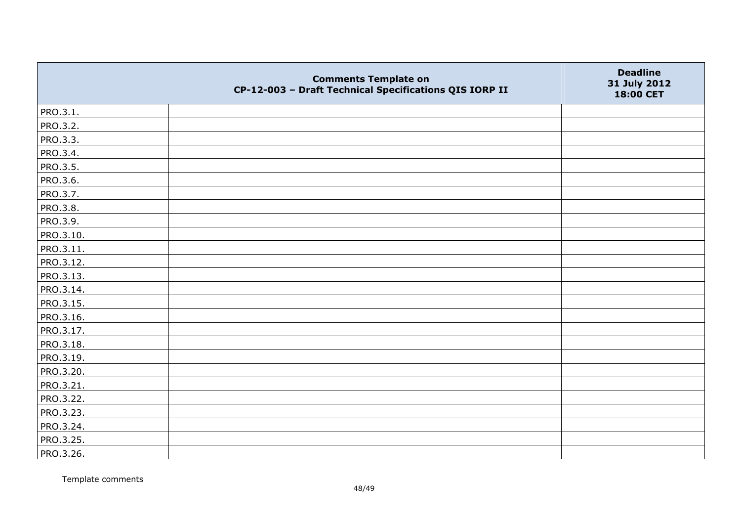|                 | <b>Comments Template on</b><br>CP-12-003 - Draft Technical Specifications QIS IORP II | <b>Deadline</b><br>31 July 2012<br>18:00 CET |
|-----------------|---------------------------------------------------------------------------------------|----------------------------------------------|
| PRO.3.1.        |                                                                                       |                                              |
| PRO.3.2.        |                                                                                       |                                              |
| PRO.3.3.        |                                                                                       |                                              |
| PRO.3.4.        |                                                                                       |                                              |
| PRO.3.5.        |                                                                                       |                                              |
| PRO.3.6.        |                                                                                       |                                              |
| PRO.3.7.        |                                                                                       |                                              |
| <b>PRO.3.8.</b> |                                                                                       |                                              |
| PRO.3.9.        |                                                                                       |                                              |
| PRO.3.10.       |                                                                                       |                                              |
| PRO.3.11.       |                                                                                       |                                              |
| PRO.3.12.       |                                                                                       |                                              |
| PRO.3.13.       |                                                                                       |                                              |
| PRO.3.14.       |                                                                                       |                                              |
| PRO.3.15.       |                                                                                       |                                              |
| PRO.3.16.       |                                                                                       |                                              |
| PRO.3.17.       |                                                                                       |                                              |
| PRO.3.18.       |                                                                                       |                                              |
| PRO.3.19.       |                                                                                       |                                              |
| PRO.3.20.       |                                                                                       |                                              |
| PRO.3.21.       |                                                                                       |                                              |
| PRO.3.22.       |                                                                                       |                                              |
| PRO.3.23.       |                                                                                       |                                              |
| PRO.3.24.       |                                                                                       |                                              |
| PRO.3.25.       |                                                                                       |                                              |
| PRO.3.26.       |                                                                                       |                                              |